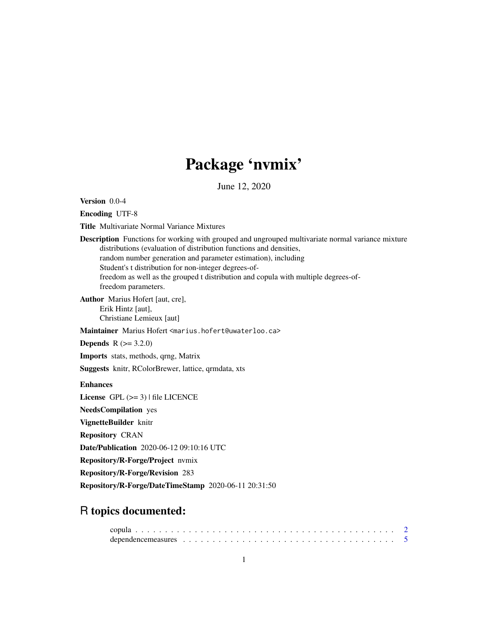# Package 'nvmix'

June 12, 2020

<span id="page-0-0"></span>Version 0.0-4

Encoding UTF-8

Title Multivariate Normal Variance Mixtures

Description Functions for working with grouped and ungrouped multivariate normal variance mixture distributions (evaluation of distribution functions and densities, random number generation and parameter estimation), including Student's t distribution for non-integer degrees-offreedom as well as the grouped t distribution and copula with multiple degrees-offreedom parameters.

Author Marius Hofert [aut, cre], Erik Hintz [aut], Christiane Lemieux [aut]

Maintainer Marius Hofert <marius.hofert@uwaterloo.ca>

**Depends**  $R (= 3.2.0)$ 

Imports stats, methods, qrng, Matrix

Suggests knitr, RColorBrewer, lattice, qrmdata, xts

#### Enhances

License  $GPL$  ( $>= 3$ ) | file LICENCE

NeedsCompilation yes

VignetteBuilder knitr

Repository CRAN

Date/Publication 2020-06-12 09:10:16 UTC

Repository/R-Forge/Project nvmix

Repository/R-Forge/Revision 283

Repository/R-Forge/DateTimeStamp 2020-06-11 20:31:50

# R topics documented:

| dependence measures $\ldots \ldots \ldots \ldots \ldots \ldots \ldots \ldots \ldots \ldots \ldots \ldots \ldots 5$ |  |  |  |  |  |  |  |  |  |  |  |  |  |  |  |  |  |  |
|--------------------------------------------------------------------------------------------------------------------|--|--|--|--|--|--|--|--|--|--|--|--|--|--|--|--|--|--|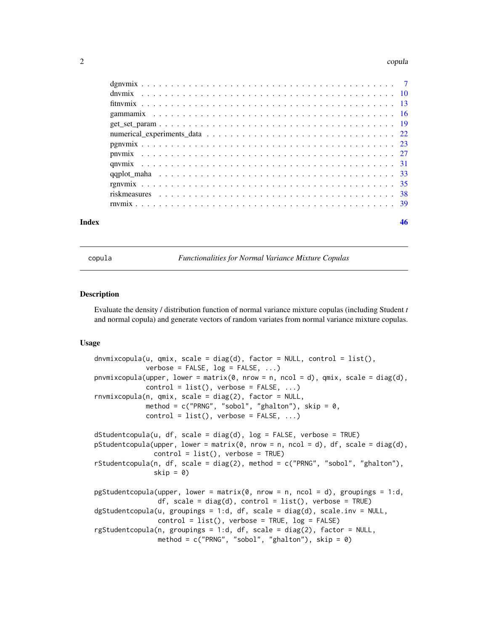#### <span id="page-1-0"></span> $2<sub>2</sub>$  copula

| Index |  |
|-------|--|
|       |  |
|       |  |
|       |  |
|       |  |
|       |  |
|       |  |
|       |  |
|       |  |
|       |  |
|       |  |
|       |  |
|       |  |
|       |  |

copula *Functionalities for Normal Variance Mixture Copulas*

#### <span id="page-1-1"></span>Description

Evaluate the density / distribution function of normal variance mixture copulas (including Student *t* and normal copula) and generate vectors of random variates from normal variance mixture copulas.

### Usage

```
dnvmixcopula(u, qmix, scale = diag(d), factor = NULL, control = list(),
             verbose = FALSE, log = FALSE, ...pnvmixcopula(upper, lower = matrix(0, nrow = n, ncol = d), qmix, scale = diag(d),
             control = list(), verbose = FALSE, ...)rnvmixcopula(n, qmix, scale = diag(2), factor = NULL,
             method = c("PRNG", "sobol", "ghalton"), skip = <math>0</math>,control = list(), verbose = FALSE, ...)dstudentcopula(u, df, scale = diag(d), log = FALSE, verbose = TRUE)pStudentcopula(upper, lower = matrix(0, nrow = n, ncol = d), df, scale = diag(d),
               control = list(), verbose = TRUE)
rStudentcopula(n, df, scale = diag(2), method = c("PRNG", "sobol", "ghalton"),skip = \theta)
pgStudentcopula(upper, lower = matrix(\theta, nrow = n, ncol = d), groupings = 1:d,
                df, scale = diag(d), control = list(), verbose = TRUE)
dgStudentcopula(u, groupings = 1:d, df, scale = diag(d), scale.inv = NULL,
                control = list(), verbose = TRUE, log = FALSE)rgStudentcopula(n, groupings = 1:d, df, scale = diag(2), factor = NULL,
                method = c("PRNG", "sobol", "ghalton"), skip = <math>0</math>)
```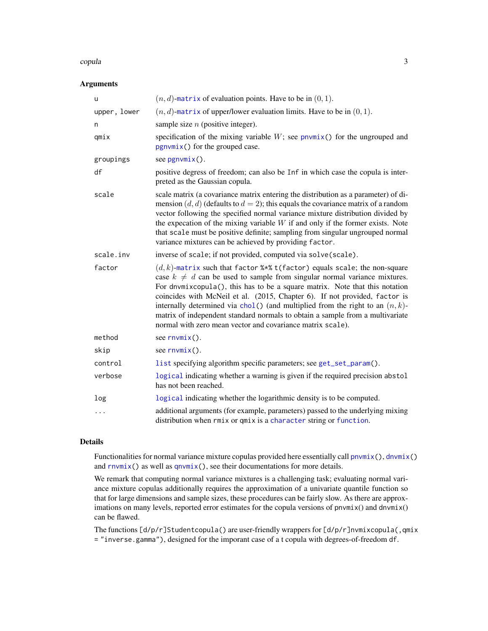#### <span id="page-2-0"></span>copula 23

# Arguments

| u            | $(n, d)$ -matrix of evaluation points. Have to be in $(0, 1)$ .                                                                                                                                                                                                                                                                                                                                                                                                                                                                                               |
|--------------|---------------------------------------------------------------------------------------------------------------------------------------------------------------------------------------------------------------------------------------------------------------------------------------------------------------------------------------------------------------------------------------------------------------------------------------------------------------------------------------------------------------------------------------------------------------|
| upper, lower | $(n, d)$ -matrix of upper/lower evaluation limits. Have to be in $(0, 1)$ .                                                                                                                                                                                                                                                                                                                                                                                                                                                                                   |
| n            | sample size $n$ (positive integer).                                                                                                                                                                                                                                                                                                                                                                                                                                                                                                                           |
| qmix         | specification of the mixing variable $W$ ; see pnvmix() for the ungrouped and<br>$pgnvmix()$ for the grouped case.                                                                                                                                                                                                                                                                                                                                                                                                                                            |
| groupings    | see $pgnvmix()$ .                                                                                                                                                                                                                                                                                                                                                                                                                                                                                                                                             |
| df           | positive degress of freedom; can also be Inf in which case the copula is inter-<br>preted as the Gaussian copula.                                                                                                                                                                                                                                                                                                                                                                                                                                             |
| scale        | scale matrix (a covariance matrix entering the distribution as a parameter) of di-<br>mension $(d, d)$ (defaults to $d = 2$ ); this equals the covariance matrix of a random<br>vector following the specified normal variance mixture distribution divided by<br>the expecation of the mixing variable $W$ if and only if the former exists. Note<br>that scale must be positive definite; sampling from singular ungrouped normal<br>variance mixtures can be achieved by providing factor.                                                                 |
| scale.inv    | inverse of scale; if not provided, computed via solve(scale).                                                                                                                                                                                                                                                                                                                                                                                                                                                                                                 |
| factor       | $(d, k)$ -matrix such that factor %*% t(factor) equals scale; the non-square<br>case $k \neq d$ can be used to sample from singular normal variance mixtures.<br>For dnvmixcopula(), this has to be a square matrix. Note that this notation<br>coincides with McNeil et al. (2015, Chapter 6). If not provided, factor is<br>internally determined via chol() (and multiplied from the right to an $(n, k)$ -<br>matrix of independent standard normals to obtain a sample from a multivariate<br>normal with zero mean vector and covariance matrix scale). |
| method       | see $rnvmix()$ .                                                                                                                                                                                                                                                                                                                                                                                                                                                                                                                                              |
| skip         | see $rnvmix()$ .                                                                                                                                                                                                                                                                                                                                                                                                                                                                                                                                              |
| control      | list specifying algorithm specific parameters; see get_set_param().                                                                                                                                                                                                                                                                                                                                                                                                                                                                                           |
| verbose      | logical indicating whether a warning is given if the required precision abstol<br>has not been reached.                                                                                                                                                                                                                                                                                                                                                                                                                                                       |
| log          | logical indicating whether the logarithmic density is to be computed.                                                                                                                                                                                                                                                                                                                                                                                                                                                                                         |
| $\cdots$     | additional arguments (for example, parameters) passed to the underlying mixing<br>distribution when rmix or qmix is a character string or function.                                                                                                                                                                                                                                                                                                                                                                                                           |

# Details

Functionalities for normal variance mixture copulas provided here essentially call [pnvmix\(](#page-26-1)), [dnvmix\(](#page-9-1)) and  $rnvmix()$  $rnvmix()$  as well as  $qnvmix()$  $qnvmix()$ , see their documentations for more details.

We remark that computing normal variance mixtures is a challenging task; evaluating normal variance mixture copulas additionally requires the approximation of a univariate quantile function so that for large dimensions and sample sizes, these procedures can be fairly slow. As there are approximations on many levels, reported error estimates for the copula versions of pnvmix() and dnvmix() can be flawed.

The functions  $\lceil d/p/r \rceil$ Studentcopula() are user-friendly wrappers for  $\lceil d/p/r \rceil$ nvmixcopula(,qmix = "inverse.gamma"), designed for the imporant case of a t copula with degrees-of-freedom df.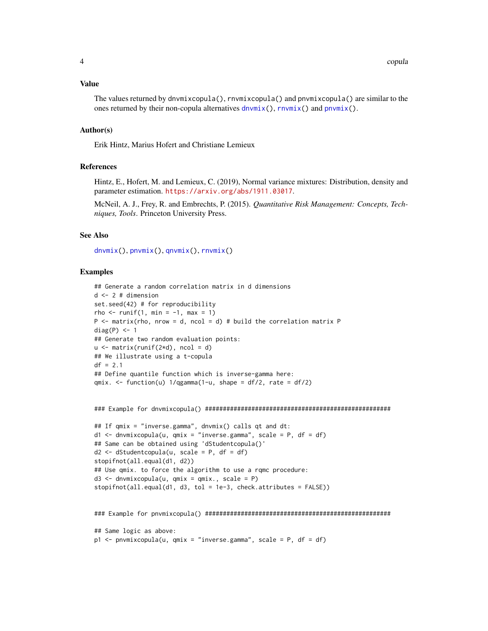#### <span id="page-3-0"></span>Value

```
The values returned by dnvmixcopula(), rnvmixcopula() and pnvmixcopula() are similar to the
dnvmix(rnvmix(pnvmix().
```
#### Author(s)

Erik Hintz, Marius Hofert and Christiane Lemieux

#### References

Hintz, E., Hofert, M. and Lemieux, C. (2019), Normal variance mixtures: Distribution, density and parameter estimation. <https://arxiv.org/abs/1911.03017>.

McNeil, A. J., Frey, R. and Embrechts, P. (2015). *Quantitative Risk Management: Concepts, Techniques, Tools*. Princeton University Press.

## See Also

[dnvmix\(](#page-9-1)), [pnvmix\(](#page-26-1)), [qnvmix\(](#page-30-1)), [rnvmix\(](#page-38-1))

#### Examples

```
## Generate a random correlation matrix in d dimensions
d \le -2 # dimension
set.seed(42) # for reproducibility
rho \le runif(1, min = -1, max = 1)
P \le - matrix(rho, nrow = d, ncol = d) # build the correlation matrix P
diag(P) <- 1
## Generate two random evaluation points:
u \leftarrow \text{matrix}(\text{runif}(2*d), \text{ ncol} = d)## We illustrate using a t-copula
df = 2.1## Define quantile function which is inverse-gamma here:
qmix. \le function(u) 1/qgamma(1-u, shape = df/2, rate = df/2)
### Example for dnvmixcopula() ####################################################
## If qmix = "inverse.gamma", dnvmix() calls qt and dt:
d1 \leq dnvmixcopula(u, qmix = "inverse.gamma", scale = P, df = df)
## Same can be obtained using 'dStudentcopula()'
d2 \le -dStudentcopula(u, scale = P, df = df)stopifnot(all.equal(d1, d2))
## Use qmix. to force the algorithm to use a rqmc procedure:
d3 \le dnvmixcopula(u, qmix = qmix., scale = P)
stopifnot(all.equals(d1, d3, tol = 1e-3, check.attributes = FALSE))### Example for pnvmixcopula() ####################################################
## Same logic as above:
p1 <- pnvmixcopula(u, qmix = "inverse.gamma", scale = P, df = df)
```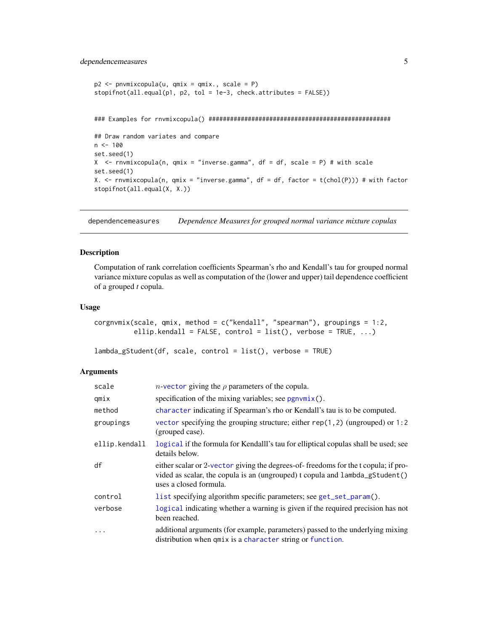# <span id="page-4-0"></span>dependencemeasures 5

```
p2 <- pnvmixcopula(u, qmix = qmix., scale = P)
stopifnot(all.equal(p1, p2, tol = 1e-3, check.attributes = FALSE))
### Examples for rnvmixcopula() ###################################################
## Draw random variates and compare
n < - 100set.seed(1)
X \le - rnvmixcopula(n, qmix = "inverse.gamma", df = df, scale = P) # with scale
set.seed(1)
X. \le rnvmixcopula(n, qmix = "inverse.gamma", df = df, factor = t(chol(P))) # with factor
stopifnot(all.equal(X, X.))
```
dependencemeasures *Dependence Measures for grouped normal variance mixture copulas*

#### Description

Computation of rank correlation coefficients Spearman's rho and Kendall's tau for grouped normal variance mixture copulas as well as computation of the (lower and upper) tail dependence coefficient of a grouped *t* copula.

# Usage

```
corgnvmix(scale, qmix, method = c("kendall", "spearman"), groupings = 1:2,
          ellip.kendall = FALSE, control = list(), verbose = TRUE, ...)
```

```
lambda_gStudent(df, scale, control = list(), verbose = TRUE)
```
#### Arguments

| scale         | <i>n</i> -vector giving the $\rho$ parameters of the copula.                                                                                                                                 |
|---------------|----------------------------------------------------------------------------------------------------------------------------------------------------------------------------------------------|
| qmix          | specification of the mixing variables; see $pgnvmix()$ .                                                                                                                                     |
| method        | character indicating if Spearman's rho or Kendall's tau is to be computed.                                                                                                                   |
| groupings     | vector specifying the grouping structure; either $rep(1,2)$ (ungrouped) or 1:2<br>(grouped case).                                                                                            |
| ellip.kendall | logical if the formula for Kendalll's tau for elliptical copulas shall be used; see<br>details below.                                                                                        |
| df            | either scalar or 2-vector giving the degrees-of-freedoms for the t copula; if pro-<br>vided as scalar, the copula is an (ungrouped) t copula and lambda_gStudent()<br>uses a closed formula. |
| control       | list specifying algorithm specific parameters; see get_set_param().                                                                                                                          |
| verbose       | logical indicating whether a warning is given if the required precision has not<br>been reached.                                                                                             |
| $\ddotsc$     | additional arguments (for example, parameters) passed to the underlying mixing<br>distribution when qmix is a character string or function.                                                  |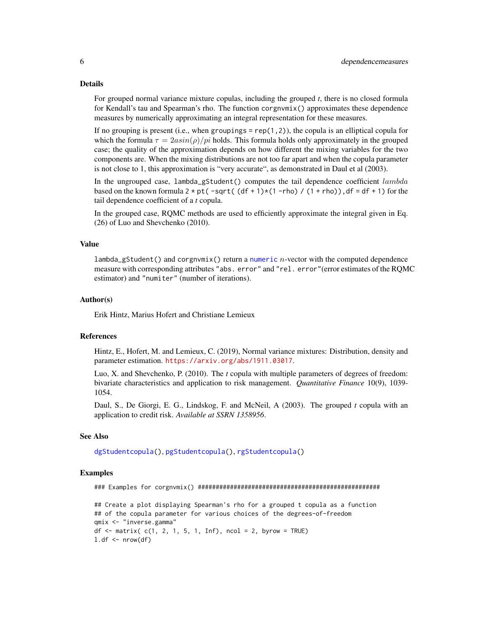#### <span id="page-5-0"></span>Details

For grouped normal variance mixture copulas, including the grouped *t*, there is no closed formula for Kendall's tau and Spearman's rho. The function corgnvmix() approximates these dependence measures by numerically approximating an integral representation for these measures.

If no grouping is present (i.e., when groupings =  $rep(1,2)$ ), the copula is an elliptical copula for which the formula  $\tau = 2a\sin(\rho)/pi$  holds. This formula holds only approximately in the grouped case; the quality of the approximation depends on how different the mixing variables for the two components are. When the mixing distributions are not too far apart and when the copula parameter is not close to 1, this approximation is "very accurate", as demonstrated in Daul et al (2003).

In the ungrouped case,  $l$ ambda\_gStudent $()$  computes the tail dependence coefficient  $lambda$ based on the known formula  $2 * pt$  ( $-sqrt$  (df + 1) $*(1 - rho) / (1 + rho)$ ), df = df + 1) for the tail dependence coefficient of a *t* copula.

In the grouped case, RQMC methods are used to efficiently approximate the integral given in Eq. (26) of Luo and Shevchenko (2010).

#### Value

 $lambda_gStudent()$  and corgnvmix() return a [numeric](#page-0-0) *n*-vector with the computed dependence measure with corresponding attributes "abs. error" and "rel. error"(error estimates of the RQMC estimator) and "numiter" (number of iterations).

# Author(s)

Erik Hintz, Marius Hofert and Christiane Lemieux

# References

Hintz, E., Hofert, M. and Lemieux, C. (2019), Normal variance mixtures: Distribution, density and parameter estimation. <https://arxiv.org/abs/1911.03017>.

Luo, X. and Shevchenko, P. (2010). The *t* copula with multiple parameters of degrees of freedom: bivariate characteristics and application to risk management. *Quantitative Finance* 10(9), 1039- 1054.

Daul, S., De Giorgi, E. G., Lindskog, F. and McNeil, A (2003). The grouped *t* copula with an application to credit risk. *Available at SSRN 1358956*.

#### See Also

[dgStudentcopula\(](#page-1-1)), [pgStudentcopula\(](#page-1-1)), [rgStudentcopula\(](#page-1-1))

# Examples

### Examples for corgnvmix() ###################################################

```
## Create a plot displaying Spearman's rho for a grouped t copula as a function
## of the copula parameter for various choices of the degrees-of-freedom
qmix <- "inverse.gamma"
df \leq - matrix( c(1, 2, 1, 5, 1, Inf), ncol = 2, byrow = TRUE)
l.df \leftarrow \text{nrow}(df)
```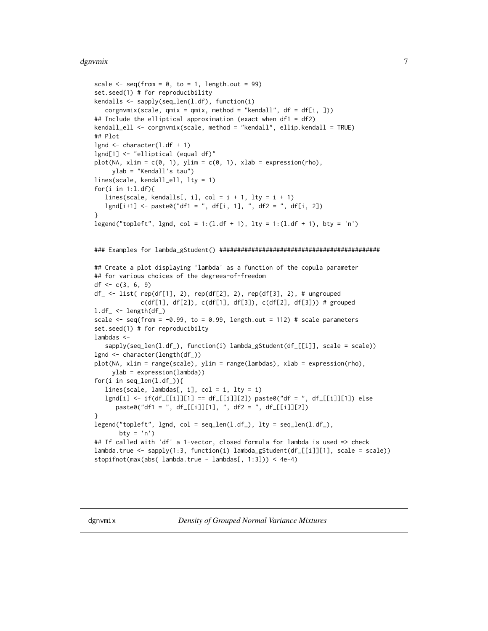#### <span id="page-6-0"></span>dgnvmix **7**

```
scale \leq seq(from = 0, to = 1, length.out = 99)
set.seed(1) # for reproducibility
kendalls <- sapply(seq_len(l.df), function(i)
  corgnvmix(scale, qmix = qmix, method = "kendall", df = df[i, ]))
## Include the elliptical approximation (exact when df1 = df2)
kendall_ell <- corgnvmix(scale, method = "kendall", ellip.kendall = TRUE)
## Plot
lgnd \leq character(1.df + 1)
lgnd[1] <- "elliptical (equal df)"
plot(NA, xlim = c(\emptyset, 1), ylim = c(\emptyset, 1), xlab = expression(rho),
     ylab = "Kendall's tau")
lines(scale, kendall_ell, lty = 1)
for(i in 1:l.df){
   lines(scale, kendalls[, i], col = i + 1, lty = i + 1)
   lgnd[i+1] < - paste0("df1 = ", df[i, 1], ", df2 = ", df[i, 2])
}
legend("topleft", lgnd, col = 1:(1.df + 1), lty = 1:(1.df + 1), bty = 'n')
### Examples for lambda_gStudent() #############################################
## Create a plot displaying 'lambda' as a function of the copula parameter
## for various choices of the degrees-of-freedom
df <- c(3, 6, 9)
df_ <- list( rep(df[1], 2), rep(df[2], 2), rep(df[3], 2), # ungrouped
             c(df[1], df[2]), c(df[1], df[3]), c(df[2], df[3])) # grouped
l.df_{-} \leftarrow length(df_{-)scale \leq seq(from = -0.99, to = 0.99, length.out = 112) # scale parameters
set.seed(1) # for reproducibilty
lambdas <-
  sapply(seq_len(l.df_), function(i) lambda_gStudent(df_[[i]], scale = scale))
lgnd <- character(length(df_))
plot(NA, xlim = range(scale), ylim = range(lambdas), xlab = expression(rho),
     ylab = expression(lambda))
for(i in seq_len(l.df_)){
  lines(scale, lambdas[, i], col = i, lty = i)
  lgnd[i] <- if(df_[[i]][1] == df_[[i]][2]) paste0("df = ", df_[[i]][1]) else
      paste0("df1 = ", df_[[i]][1], ", df2 = ", df_[[i]][2])
}
legend("topleft", lgnd, col = seq_length(1.df_{}), lty = seq_length(1.df_{}),
       bty = 'n')
## If called with 'df' a 1-vector, closed formula for lambda is used => check
lambda.true <- sapply(1:3, function(i) lambda_gStudent(df_[[i]][1], scale = scale))
stopifnot(max(abs( lambda.true - lambdas[, 1:3])) < 4e-4)
```
<span id="page-6-1"></span>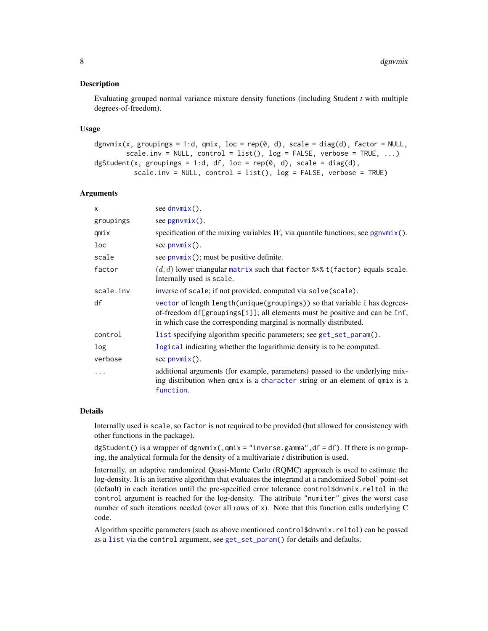#### <span id="page-7-0"></span>Description

Evaluating grouped normal variance mixture density functions (including Student *t* with multiple degrees-of-freedom).

#### Usage

```
dgnvmix(x, groupings = 1:d, qmix, loc = rep(0, d), scale = diag(d), factor = NULL,
        scale.inv = NULL, control = list(), log = FALSE, verbose = TRUE, \ldots)
dgStudent(x, groupings = 1:d, df, loc = rep(0, d), scale = diag(d),
          scale.inv = NULL, control = list(), log = FALSE, verbose = TRUE)
```
#### Arguments

| $\mathsf{x}$ | see $d$ nvmix $()$ .                                                                                                                                                                                                            |
|--------------|---------------------------------------------------------------------------------------------------------------------------------------------------------------------------------------------------------------------------------|
| groupings    | see $pgnvmix()$ .                                                                                                                                                                                                               |
| qmix         | specification of the mixing variables $W_i$ via quantile functions; see pgnvmix().                                                                                                                                              |
| loc          | see $pnumix()$ .                                                                                                                                                                                                                |
| scale        | see $p_{\text{num}}(x)$ ; must be positive definite.                                                                                                                                                                            |
| factor       | $(d, d)$ lower triangular matrix such that factor $\frac{1}{2}$ (factor) equals scale.<br>Internally used is scale.                                                                                                             |
| scale.inv    | inverse of scale; if not provided, computed via solve(scale).                                                                                                                                                                   |
| df           | vector of length length (unique (groupings)) so that variable i has degrees-<br>of-freedom df[groupings[i]]; all elements must be positive and can be Inf,<br>in which case the corresponding marginal is normally distributed. |
| control      | list specifying algorithm specific parameters; see get_set_param().                                                                                                                                                             |
| log          | logical indicating whether the logarithmic density is to be computed.                                                                                                                                                           |
| verbose      | see $pnumix()$ .                                                                                                                                                                                                                |
| $\cdots$     | additional arguments (for example, parameters) passed to the underlying mix-<br>ing distribution when qmix is a character string or an element of qmix is a<br>function.                                                        |

# Details

Internally used is scale, so factor is not required to be provided (but allowed for consistency with other functions in the package).

dgStudent() is a wrapper of dgnvmix(, $qmix = "inverse.gamma", df = df$ ). If there is no grouping, the analytical formula for the density of a multivariate *t* distribution is used.

Internally, an adaptive randomized Quasi-Monte Carlo (RQMC) approach is used to estimate the log-density. It is an iterative algorithm that evaluates the integrand at a randomized Sobol' point-set (default) in each iteration until the pre-specified error tolerance control\$dnvmix.reltol in the control argument is reached for the log-density. The attribute "numiter" gives the worst case number of such iterations needed (over all rows of x). Note that this function calls underlying C code.

Algorithm specific parameters (such as above mentioned control\$dnvmix.reltol) can be passed as a [list](#page-0-0) via the control argument, see [get\\_set\\_param\(](#page-18-1)) for details and defaults.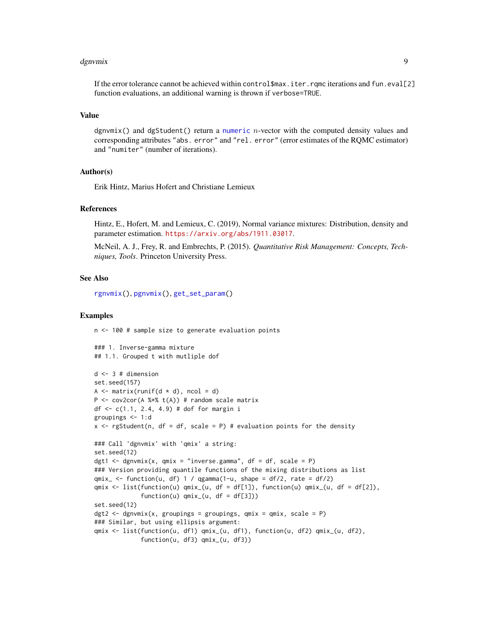#### <span id="page-8-0"></span>dgnvmix **9**

If the error tolerance cannot be achieved within control \$max.iter.rqmc iterations and fun.eval[2] function evaluations, an additional warning is thrown if verbose=TRUE.

#### Value

dgnvmix() and dgStudent() return a [numeric](#page-0-0)  $n$ -vector with the computed density values and corresponding attributes "abs. error" and "rel. error" (error estimates of the RQMC estimator) and "numiter" (number of iterations).

#### Author(s)

Erik Hintz, Marius Hofert and Christiane Lemieux

#### References

Hintz, E., Hofert, M. and Lemieux, C. (2019), Normal variance mixtures: Distribution, density and parameter estimation. <https://arxiv.org/abs/1911.03017>.

McNeil, A. J., Frey, R. and Embrechts, P. (2015). *Quantitative Risk Management: Concepts, Techniques, Tools*. Princeton University Press.

#### See Also

[rgnvmix\(](#page-34-1)), [pgnvmix\(](#page-22-1)), [get\\_set\\_param\(](#page-18-1))

#### Examples

n <- 100 # sample size to generate evaluation points

```
### 1. Inverse-gamma mixture
## 1.1. Grouped t with mutliple dof
d \le -3 # dimension
set.seed(157)
A \leftarrow matrix(runif(d * d), ncol = d)P \le -\text{cov2cor}(A \text{ %} * \text{ % } t(A)) # random scale matrix
df <- c(1.1, 2.4, 4.9) # dof for margin i
groupings \leq -1:dx \leq - rgStudent(n, df = df, scale = P) # evaluation points for the density
### Call 'dgnvmix' with 'qmix' a string:
set.seed(12)
dgt1 <- dgnvmix(x, qmix = "inverse.gamma", df = df, scale = P)
### Version providing quantile functions of the mixing distributions as list
qmix_{-} \leftarrow function(u, df) 1 / qgamma(1-u, shape = df/2, rate = df/2)qmix \le list(function(u) qmix_(u, df = df[1]), function(u) qmix_(u, df = df[2]),
              function(u) qmix_{u}(u, df = df[3]))set.seed(12)
dgt2 <- dgnvmix(x, groupings = groupings, qmix = qmix, scale = P)
### Similar, but using ellipsis argument:
qmix <- list(function(u, df1) qmix_(u, df1), function(u, df2) qmix_(u, df2),
             function(u, df3) qmix_(u, df3))
```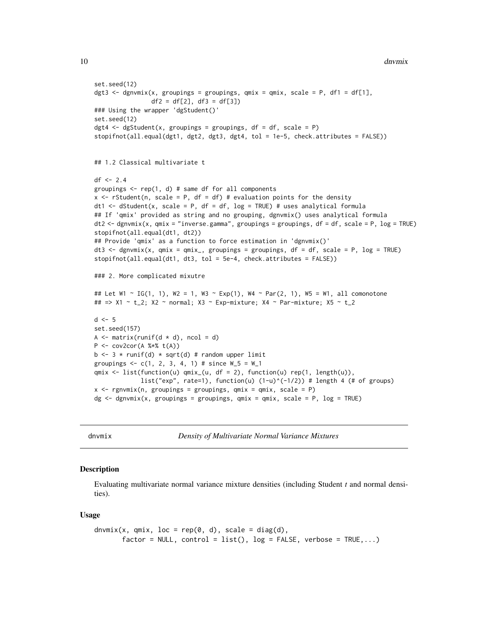```
10 dnvmix
```

```
set.seed(12)
dgt3 <- dgnvmix(x, groupings = groupings, qmix = qmix, scale = P, df1 = df[1],
                df2 = df[2], df3 = df[3])### Using the wrapper 'dgStudent()'
set.seed(12)
dgt4 \leq dgStudent(x, groupings = groupings, df = df, scale = P)
stopifnot(all.equal(dgt1, dgt2, dgt3, dgt4, tol = 1e-5, check.attributes = FALSE))
## 1.2 Classical multivariate t
df \le -2.4groupings <- rep(1, d) # same df for all components
x \le rStudent(n, scale = P, df = df) # evaluation points for the density
dt1 <- dStudent(x, scale = P, df = df, log = TRUE) # uses analytical formula
## If 'qmix' provided as string and no grouping, dgnvmix() uses analytical formula
dt2 <- dgnvmix(x, qmix = "inverse.gamma", groupings = groupings, df = df, scale = P, log = TRUE)
stopifnot(all.equal(dt1, dt2))
## Provide 'qmix' as a function to force estimation in 'dgnvmix()'
dt3 <- dgnvmix(x, qmix = qmix_, groupings = groupings, df = df, scale = P, log = TRUE)
stopifnot(all.equal(dt1, dt3, tol = 5e-4, check.attributes = FALSE))
### 2. More complicated mixutre
## Let W1 ~ IG(1, 1), W2 = 1, W3 ~ Exp(1), W4 ~ Par(2, 1), W5 = W1, all comonotone
## => X1 ~ t_2; X2 ~ normal; X3 ~ Exp-mixture; X4 ~ Par-mixture; X5 ~ t_2
d \leq -5set.seed(157)
A \leq matrix(runif(d \neq d), ncol = d)
P \leftarrow cov2cor(A % * % t(A))b \le -3 * runif(d) * sqrt(d) # random upper limit
groupings \leq -c(1, 2, 3, 4, 1) # since W_5 = W_1qmix \le list(function(u) qmix_(u, df = 2), function(u) rep(1, length(u)),
             list("exp", rate=1), function(u) (1-u)^{-1/2}) # length 4 (# of groups)
x \leq - rgnvmix(n, groupings = groupings, qmix = qmix, scale = P)
dg \leq - dgnvmix(x, groupings = groupings, qmix = qmix, scale = P, log = TRUE)
```
<span id="page-9-1"></span>dnvmix *Density of Multivariate Normal Variance Mixtures*

#### Description

Evaluating multivariate normal variance mixture densities (including Student *t* and normal densities).

#### Usage

```
dnvmix(x, qmix, loc = rep(0, d), scale = diag(d),
       factor = NULL, control = list(), log = FALSE, verbose = TRUE, ...)
```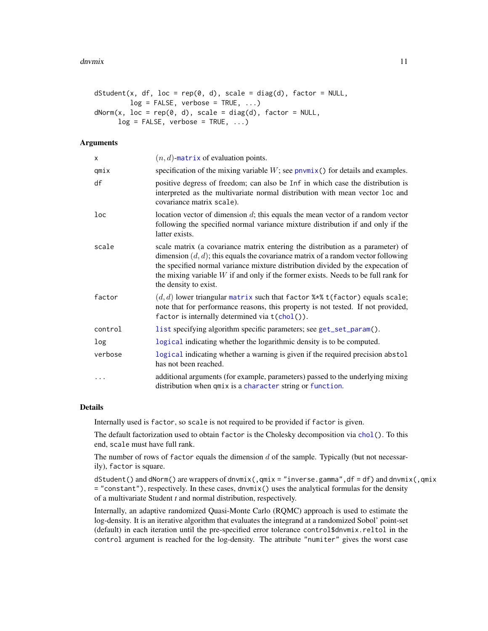```
dstudent(x, df, loc = rep(0, d), scale = diag(d), factor = NULL,log = FALSE, verbose = TRUE, ...)
dNorm(x, loc = rep(0, d), scale = diag(d), factor = NULL,log = FALSE, verbose = TRUE, ...)
```
# Arguments

| x       | $(n, d)$ -matrix of evaluation points.                                                                                                                                                                                                                                                                                                                                   |
|---------|--------------------------------------------------------------------------------------------------------------------------------------------------------------------------------------------------------------------------------------------------------------------------------------------------------------------------------------------------------------------------|
| qmix    | specification of the mixing variable $W$ ; see $p$ nvmix() for details and examples.                                                                                                                                                                                                                                                                                     |
| df      | positive degress of freedom; can also be Inf in which case the distribution is<br>interpreted as the multivariate normal distribution with mean vector loc and<br>covariance matrix scale).                                                                                                                                                                              |
| loc     | location vector of dimension $d$ ; this equals the mean vector of a random vector<br>following the specified normal variance mixture distribution if and only if the<br>latter exists.                                                                                                                                                                                   |
| scale   | scale matrix (a covariance matrix entering the distribution as a parameter) of<br>dimension $(d, d)$ ; this equals the covariance matrix of a random vector following<br>the specified normal variance mixture distribution divided by the expecation of<br>the mixing variable $W$ if and only if the former exists. Needs to be full rank for<br>the density to exist. |
| factor  | $(d, d)$ lower triangular matrix such that factor $\frac{1}{2}$ t(factor) equals scale;<br>note that for performance reasons, this property is not tested. If not provided,<br>factor is internally determined via $t(chol())$ .                                                                                                                                         |
| control | list specifying algorithm specific parameters; see get_set_param().                                                                                                                                                                                                                                                                                                      |
| log     | logical indicating whether the logarithmic density is to be computed.                                                                                                                                                                                                                                                                                                    |
| verbose | logical indicating whether a warning is given if the required precision abstol<br>has not been reached.                                                                                                                                                                                                                                                                  |
| .       | additional arguments (for example, parameters) passed to the underlying mixing<br>distribution when qmix is a character string or function.                                                                                                                                                                                                                              |

# Details

Internally used is factor, so scale is not required to be provided if factor is given.

The default factorization used to obtain factor is the Cholesky decomposition via [chol\(](#page-0-0)). To this end, scale must have full rank.

The number of rows of factor equals the dimension  $d$  of the sample. Typically (but not necessarily), factor is square.

dStudent() and dNorm() are wrappers of dnvmix(, $qmix = "inverse.gamma", df = df$  and dnvmix(, $qmix$ = "constant"), respectively. In these cases, dnvmix() uses the analytical formulas for the density of a multivariate Student *t* and normal distribution, respectively.

Internally, an adaptive randomized Quasi-Monte Carlo (RQMC) approach is used to estimate the log-density. It is an iterative algorithm that evaluates the integrand at a randomized Sobol' point-set (default) in each iteration until the pre-specified error tolerance control\$dnvmix.reltol in the control argument is reached for the log-density. The attribute "numiter" gives the worst case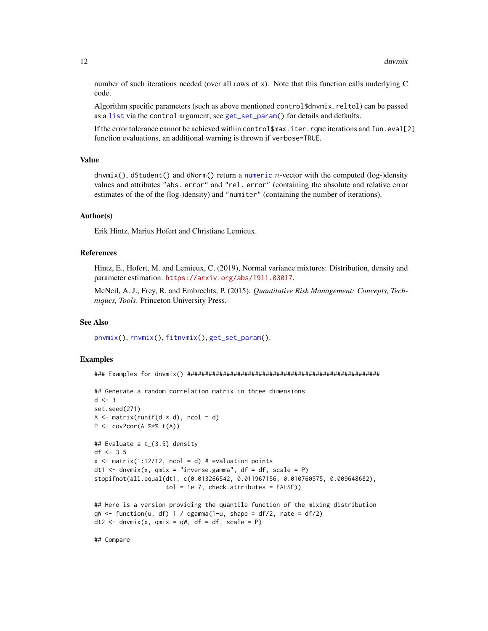<span id="page-11-0"></span>number of such iterations needed (over all rows of x). Note that this function calls underlying C code.

Algorithm specific parameters (such as above mentioned control\$dnvmix.reltol) can be passed as a [list](#page-0-0) via the control argument, see [get\\_set\\_param\(](#page-18-1)) for details and defaults.

If the error tolerance cannot be achieved within control\$max.iter.rqmc iterations and fun.eval[2] function evaluations, an additional warning is thrown if verbose=TRUE.

#### Value

 $d$ nvmix(), dStudent() and dNorm() return a [numeric](#page-0-0) *n*-vector with the computed (log-)density values and attributes "abs. error" and "rel. error" (containing the absolute and relative error estimates of the of the (log-)density) and "numiter" (containing the number of iterations).

#### Author(s)

Erik Hintz, Marius Hofert and Christiane Lemieux.

#### References

Hintz, E., Hofert, M. and Lemieux, C. (2019), Normal variance mixtures: Distribution, density and parameter estimation. <https://arxiv.org/abs/1911.03017>.

McNeil, A. J., Frey, R. and Embrechts, P. (2015). *Quantitative Risk Management: Concepts, Techniques, Tools*. Princeton University Press.

#### See Also

[pnvmix\(](#page-26-1)), [rnvmix\(](#page-38-1)), [fitnvmix\(](#page-12-1)), [get\\_set\\_param\(](#page-18-1)).

# Examples

### Examples for dnvmix() ######################################################

```
## Generate a random correlation matrix in three dimensions
d \le -3set.seed(271)
A \leq matrix(runif(d \neq d), ncol = d)
P <- cov2cor(A %*% t(A))
## Evaluate a t_{3.5} density
df <- 3.5
x \le matrix(1:12/12, ncol = d) # evaluation points
dt1 <- dnvmix(x, qmix = "inverse.gamma", df = df, scale = P)
stopifnot(all.equal(dt1, c(0.013266542, 0.011967156, 0.010760575, 0.009648682),
                    tol = 1e-7, check.attributes = FALSE)## Here is a version providing the quantile function of the mixing distribution
qW \leq function(u, df) 1 / qgamma(1-u, shape = df/2, rate = df/2)
```

```
dt2 \le - dnvmix(x, qmix = qW, df = df, scale = P)
```
## Compare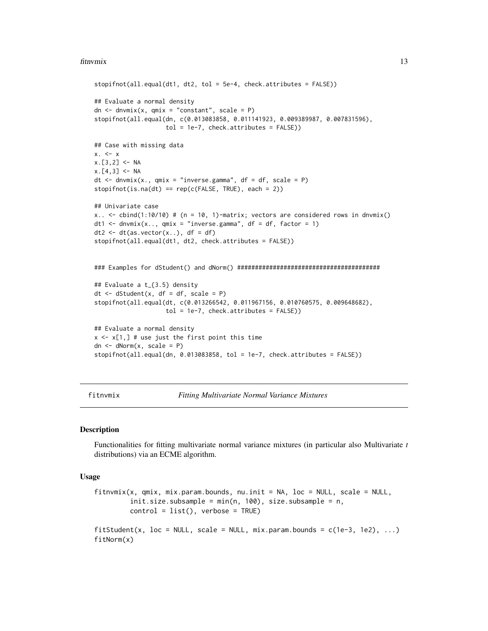#### <span id="page-12-0"></span>fitnvmix 13

```
stopifnot(all.equal(dt1, dt2, tol = 5e-4, check.attributes = FALSE))
## Evaluate a normal density
dn \leq dnvmix(x, qmix = "constant", scale = P)
stopifnot(all.equal(dn, c(0.013083858, 0.011141923, 0.009389987, 0.007831596),
                    tol = 1e-7, check.attributes = FALSE)## Case with missing data
x. < - xx.[3,2] <- NA
x.[4,3] < -NAdt \leq dnvmix(x., qmix = "inverse.gamma", df = df, scale = P)
stopifnot(is.na(dt) == rep(c(FALSE, TRUE), each = 2))## Univariate case
x.. \le cbind(1:10/10) # (n = 10, 1)-matrix; vectors are considered rows in dnvmix()
dt1 <- dnvmix(x.., qmix = "inverse.gamma", df = df, factor = 1)
dt2 <- dt(as.vector(x, .), df = df)
stopifnot(all.equal(dt1, dt2, check.attributes = FALSE))
### Examples for dStudent() and dNorm() ########################################
## Evaluate a t_{3.5} density
dt \leq dStudent(x, df = df, scale = P)
stopifnot(all.equal(dt, c(0.013266542, 0.011967156, 0.010760575, 0.009648682),
                    tol = 1e-7, check.attributes = FALSE)## Evaluate a normal density
x \leq x[1,] # use just the first point this time
dn \leq dNorm(x, scale = P)stopifnot(all.equal(dn, 0.013083858, tol = 1e-7, check.attributes = FALSE))
```
<span id="page-12-1"></span>fitnvmix *Fitting Multivariate Normal Variance Mixtures*

# **Description**

Functionalities for fitting multivariate normal variance mixtures (in particular also Multivariate *t* distributions) via an ECME algorithm.

#### Usage

```
fitnvmix(x, qmix, mix.param. bounds, nu.init = NA, loc = NULL, scale = NULL,init.size.subsample = min(n, 100), size.subsample = n,
        control = list(), verbose = TRUE)
fitStudent(x, loc = NULL, scale = NULL, mix.param.bounds = c(1e-3, 1e2), ...)
fitNorm(x)
```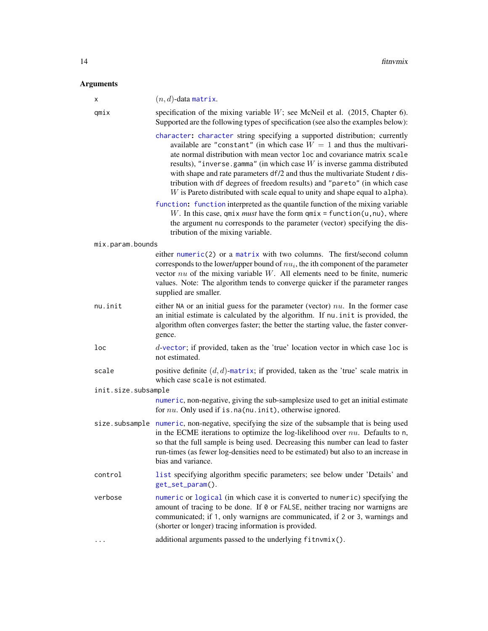# <span id="page-13-0"></span>Arguments

| Χ                   | $(n, d)$ -data matrix.                                                                                                                                                                                                                                                                                                                                                                                                                                                                                                                                          |
|---------------------|-----------------------------------------------------------------------------------------------------------------------------------------------------------------------------------------------------------------------------------------------------------------------------------------------------------------------------------------------------------------------------------------------------------------------------------------------------------------------------------------------------------------------------------------------------------------|
| qmix                | specification of the mixing variable $W$ ; see McNeil et al. (2015, Chapter 6).<br>Supported are the following types of specification (see also the examples below):                                                                                                                                                                                                                                                                                                                                                                                            |
|                     | character: character string specifying a supported distribution; currently<br>available are "constant" (in which case $W = 1$ and thus the multivari-<br>ate normal distribution with mean vector loc and covariance matrix scale<br>results), "inverse.gamma" (in which case $W$ is inverse gamma distributed<br>with shape and rate parameters $df/2$ and thus the multivariate Student t dis-<br>tribution with df degrees of freedom results) and "pareto" (in which case<br>$W$ is Pareto distributed with scale equal to unity and shape equal to alpha). |
|                     | function: function interpreted as the quantile function of the mixing variable<br>W. In this case, $qmix must$ have the form $qmix = function(u, nu)$ , where<br>the argument nu corresponds to the parameter (vector) specifying the dis-<br>tribution of the mixing variable.                                                                                                                                                                                                                                                                                 |
| mix.param.bounds    |                                                                                                                                                                                                                                                                                                                                                                                                                                                                                                                                                                 |
|                     | either numeric(2) or a matrix with two columns. The first/second column<br>corresponds to the lower/upper bound of $nu_i$ , the ith component of the parameter<br>vector $nu$ of the mixing variable $W$ . All elements need to be finite, numeric<br>values. Note: The algorithm tends to converge quicker if the parameter ranges<br>supplied are smaller.                                                                                                                                                                                                    |
| nu.init             | either NA or an initial guess for the parameter (vector) $nu$ . In the former case<br>an initial estimate is calculated by the algorithm. If nu. init is provided, the<br>algorithm often converges faster; the better the starting value, the faster conver-<br>gence.                                                                                                                                                                                                                                                                                         |
| loc                 | d-vector; if provided, taken as the 'true' location vector in which case loc is<br>not estimated.                                                                                                                                                                                                                                                                                                                                                                                                                                                               |
| scale               | positive definite $(d, d)$ -matrix; if provided, taken as the 'true' scale matrix in<br>which case scale is not estimated.                                                                                                                                                                                                                                                                                                                                                                                                                                      |
| init.size.subsample |                                                                                                                                                                                                                                                                                                                                                                                                                                                                                                                                                                 |
|                     | numeric, non-negative, giving the sub-samplesize used to get an initial estimate<br>for $nu$ . Only used if is. na(nu. init), otherwise ignored.                                                                                                                                                                                                                                                                                                                                                                                                                |
|                     | size.subsample numeric, non-negative, specifying the size of the subsample that is being used<br>in the ECME iterations to optimize the log-likelihood over $nu$ . Defaults to n,<br>so that the full sample is being used. Decreasing this number can lead to faster<br>run-times (as fewer log-densities need to be estimated) but also to an increase in<br>bias and variance.                                                                                                                                                                               |
| control             | list specifying algorithm specific parameters; see below under 'Details' and<br>get_set_param().                                                                                                                                                                                                                                                                                                                                                                                                                                                                |
| verbose             | numeric or logical (in which case it is converted to numeric) specifying the<br>amount of tracing to be done. If 0 or FALSE, neither tracing nor warnigns are<br>communicated; if 1, only warnigns are communicated, if 2 or 3, warnings and<br>(shorter or longer) tracing information is provided.                                                                                                                                                                                                                                                            |
|                     | additional arguments passed to the underlying fitnvmix().                                                                                                                                                                                                                                                                                                                                                                                                                                                                                                       |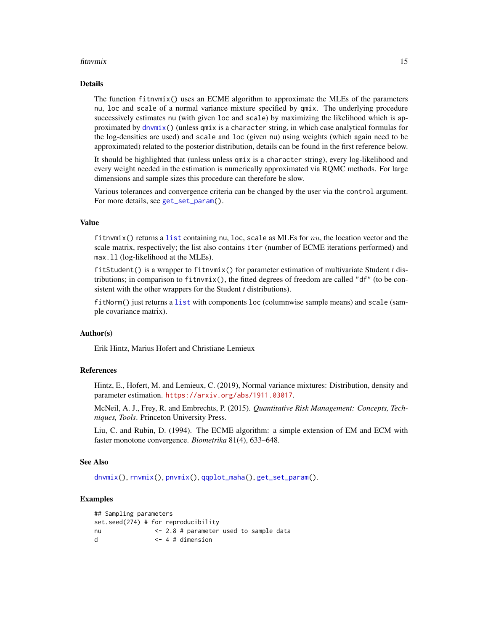#### <span id="page-14-0"></span>fitnvmix 15

## Details

The function fitnvmix() uses an ECME algorithm to approximate the MLEs of the parameters nu, loc and scale of a normal variance mixture specified by qmix. The underlying procedure successively estimates nu (with given loc and scale) by maximizing the likelihood which is approximated by [dnvmix\(](#page-9-1)) (unless qmix is a character string, in which case analytical formulas for the log-densities are used) and scale and loc (given nu) using weights (which again need to be approximated) related to the posterior distribution, details can be found in the first reference below.

It should be highlighted that (unless unless qmix is a character string), every log-likelihood and every weight needed in the estimation is numerically approximated via RQMC methods. For large dimensions and sample sizes this procedure can therefore be slow.

Various tolerances and convergence criteria can be changed by the user via the control argument. For more details, see [get\\_set\\_param\(](#page-18-1)).

#### Value

fitnvmix() returns a [list](#page-0-0) containing nu, loc, scale as MLEs for  $nu$ , the location vector and the scale matrix, respectively; the list also contains iter (number of ECME iterations performed) and max.ll (log-likelihood at the MLEs).

fitStudent() is a wrapper to fitnvmix() for parameter estimation of multivariate Student *t* distributions; in comparison to fitnvmix(), the fitted degrees of freedom are called "df" (to be consistent with the other wrappers for the Student *t* distributions).

fitNorm() just returns a [list](#page-0-0) with components loc (columnwise sample means) and scale (sample covariance matrix).

# Author(s)

Erik Hintz, Marius Hofert and Christiane Lemieux

#### References

Hintz, E., Hofert, M. and Lemieux, C. (2019), Normal variance mixtures: Distribution, density and parameter estimation. <https://arxiv.org/abs/1911.03017>.

McNeil, A. J., Frey, R. and Embrechts, P. (2015). *Quantitative Risk Management: Concepts, Techniques, Tools*. Princeton University Press.

Liu, C. and Rubin, D. (1994). The ECME algorithm: a simple extension of EM and ECM with faster monotone convergence. *Biometrika* 81(4), 633–648.

#### See Also

[dnvmix\(](#page-9-1)), [rnvmix\(](#page-38-1)), [pnvmix\(](#page-26-1)), [qqplot\\_maha\(](#page-32-1)), [get\\_set\\_param\(](#page-18-1)).

#### Examples

```
## Sampling parameters
set.seed(274) # for reproducibility
nu <- 2.8 # parameter used to sample data
d <-4 # dimension
```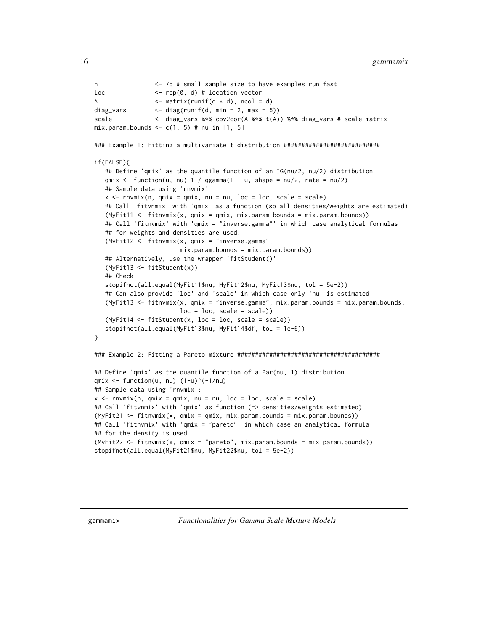```
n <- 75 # small sample size to have examples run fast
loc <- rep(0, d) # location vector
A \leftarrow matrix(runif(d \star d), ncol = d)
diag_vars \langle - \text{diag}(\text{runif}(d, \text{min} = 2, \text{max} = 5)) \ranglescale <- diag_vars %*% cov2cor(A %*% t(A)) %*% diag_vars # scale matrix
mix.param.bounds \leftarrow c(1, 5) # nu in [1, 5]### Example 1: Fitting a multivariate t distribution ###########################
if(FALSE){
   ## Define 'qmix' as the quantile function of an IG(nu/2, nu/2) distribution
   qmix \le function(u, nu) 1 / qgamma(1 - u, shape = nu/2, rate = nu/2)
   ## Sample data using 'rnvmix'
   x \leq -rnvmix(n, qmix = qmix, nu = nu, loc = loc, scale = scale)
   ## Call 'fitvnmix' with 'qmix' as a function (so all densities/weights are estimated)
   (MyFit11 <- fitnvmix(x, qmix = qmix, mix.param.bounds = mix.param.bounds))
   ## Call 'fitnvmix' with 'qmix = "inverse.gamma"' in which case analytical formulas
   ## for weights and densities are used:
   (MyFit12 <- fitnvmix(x, qmix = "inverse.gamma",
                        mix.param.bounds = mix.param.bounds))
   ## Alternatively, use the wrapper 'fitStudent()'
   (MyFit13 <- fitStudent(x))
   ## Check
   stopifnot(all.equal(MyFit11$nu, MyFit12$nu, MyFit13$nu, tol = 5e-2))
   ## Can also provide 'loc' and 'scale' in which case only 'nu' is estimated
   (MyFit13 <- fitnvmix(x, qmix = "inverse.gamma", mix.param.bounds = mix.param.bounds,
                        loc = loc, scale = scale)(MyFit14 < -fitstudent(x, loc = loc, scale = scale))stopifnot(all.equal(MyFit13$nu, MyFit14$df, tol = 1e-6))
}
### Example 2: Fitting a Pareto mixture ########################################
## Define 'qmix' as the quantile function of a Par(nu, 1) distribution
qmix \le function(u, nu) (1-u)^*(-1/nu)## Sample data using 'rnvmix':
x \leq -rnvmix(n, qmix = qmix, nu = nu, loc = loc, scale = scale)
## Call 'fitvnmix' with 'qmix' as function (=> densities/weights estimated)
(MyFit21 <- fitnvmix(x, qmix = qmix, mix.param.bounds = mix.param.bounds))
## Call 'fitnvmix' with 'qmix = "pareto"' in which case an analytical formula
## for the density is used
(MyFit22 <- fitnvmix(x, qmix = "pareto", mix.param.bounds = mix.param.bounds))
stopifnot(all.equal(MyFit21$nu, MyFit22$nu, tol = 5e-2))
```
<span id="page-15-1"></span>

gammamix *Functionalities for Gamma Scale Mixture Models*

<span id="page-15-0"></span>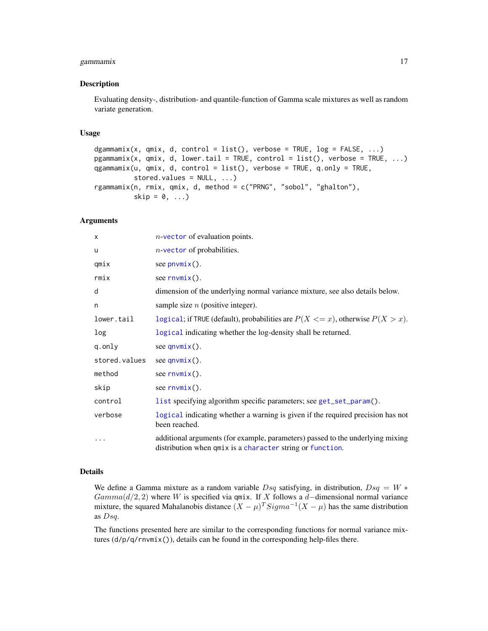# <span id="page-16-0"></span>gammamix 17

#### Description

Evaluating density-, distribution- and quantile-function of Gamma scale mixtures as well as random variate generation.

#### Usage

```
dgammamix(x, qmix, d, control = list(), verbose = TRUE, log = FALSE, ...)
pgammamix(x, qmix, d, lower.tail = TRUE, control = list(), verbose = TRUE, ...)
qgammamix(u, qmix, d, control = list(), verbose = TRUE, q.only = TRUE,
          stored.values = NULL, ...)
rgammamix(n, rmix, qmix, d, method = c("PRNG", "sobol", "ghalton"),
          skip = 0, \ldots)
```
#### **Arguments**

| X             | $n$ -vector of evaluation points.                                                                                                           |
|---------------|---------------------------------------------------------------------------------------------------------------------------------------------|
| u             | $n$ -vector of probabilities.                                                                                                               |
| qmix          | see $p_nw$ ix().                                                                                                                            |
| rmix          | see $rnvmix()$ .                                                                                                                            |
| d             | dimension of the underlying normal variance mixture, see also details below.                                                                |
| n             | sample size $n$ (positive integer).                                                                                                         |
| lower.tail    | logical; if TRUE (default), probabilities are $P(X \le x)$ , otherwise $P(X > x)$ .                                                         |
| log           | logical indicating whether the log-density shall be returned.                                                                               |
| q.only        | see $qnumix()$ .                                                                                                                            |
| stored.values | see $qnumix()$ .                                                                                                                            |
| method        | see $rnvmix()$ .                                                                                                                            |
| skip          | see $rnvmix()$ .                                                                                                                            |
| control       | list specifying algorithm specific parameters; see get_set_param().                                                                         |
| verbose       | logical indicating whether a warning is given if the required precision has not<br>been reached.                                            |
| .             | additional arguments (for example, parameters) passed to the underlying mixing<br>distribution when qmix is a character string or function. |

#### Details

We define a Gamma mixture as a random variable  $Dsq$  satisfying, in distribution,  $Dsq = W *$  $Gamma(d/2, 2)$  where W is specified via qmix. If X follows a d–dimensional normal variance mixture, the squared Mahalanobis distance  $(X - \mu)^T$   $Sigma^{-1}(X - \mu)$  has the same distribution as Dsq.

The functions presented here are similar to the corresponding functions for normal variance mixtures (d/p/q/rnvmix()), details can be found in the corresponding help-files there.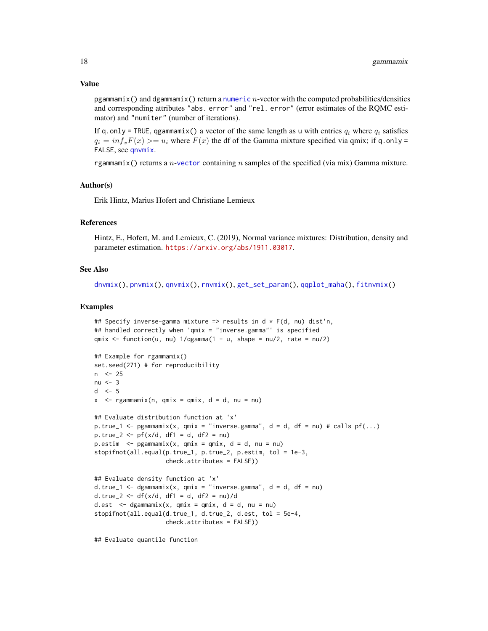#### <span id="page-17-0"></span>Value

pgammamix() and dgammamix() return a [numeric](#page-0-0) n-vector with the computed probabilities/densities and corresponding attributes "abs. error" and "rel. error" (error estimates of the RQMC estimator) and "numiter" (number of iterations).

If q.only = TRUE, qgammamix() a vector of the same length as u with entries  $q_i$  where  $q_i$  satisfies  $q_i = inf_x F(x) \geq u_i$  where  $F(x)$  the df of the Gamma mixture specified via qmix; if q.only = FALSE, see [qnvmix](#page-30-1).

rgammamix() returns a *n*-[vector](#page-0-0) containing *n* samples of the specified (via mix) Gamma mixture.

#### Author(s)

Erik Hintz, Marius Hofert and Christiane Lemieux

#### References

Hintz, E., Hofert, M. and Lemieux, C. (2019), Normal variance mixtures: Distribution, density and parameter estimation. <https://arxiv.org/abs/1911.03017>.

#### See Also

```
dnvmix(), pnvmix(), qnvmix(), rnvmix(), get_set_param(), qqplot_maha(), fitnvmix()
```
#### Examples

```
## Specify inverse-gamma mixture => results in d * F(d, nu) dist'n,
## handled correctly when 'qmix = "inverse.gamma"' is specified
qmix \le function(u, nu) 1/qgamma(1 - u, shape = nu/2, rate = nu/2)
## Example for rgammamix()
set.seed(271) # for reproducibility
n <- 25
nu < -3d \le -5x < - rgammamix(n, qmix = qmix, d = d, nu = nu)
## Evaluate distribution function at 'x'
p.true_1 <- pgammamix(x, qmix = "inverse.gamma", d = d, df = nu) # calls pf(...)
p.true_2 <- pf(x/d, df1 = d, df2 = nu)
p.estim \leq pgammamix(x, qmix = qmix, d = d, nu = nu)
stopifnot(all.equal(p.true_1, p.true_2, p.estim, tol = 1e-3,
                    check.attributes = FALSE))
## Evaluate density function at 'x'
d.true<sub>1</sub> <- dgammamix(x, qmix = "inverse.gamma", d = d, df = nu)
d.true_2 <- df(x/d, df1 = d, df2 = nu)/dd.est \leq dgammamix(x, qmix = qmix, d = d, nu = nu)
stopifnot(all.equal(d.true_1, d.true_2, d.est, tol = 5e-4,
                    check.attributes = FALSE))
```
## Evaluate quantile function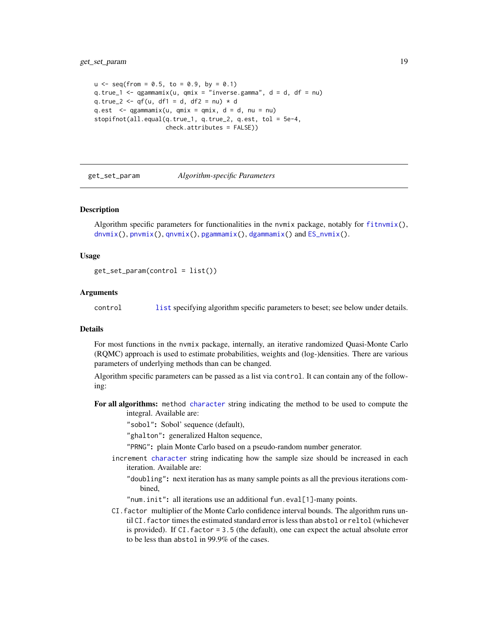```
u \le - seq(from = 0.5, to = 0.9, by = 0.1)
q.true_1 <- qgammamix(u, qmix = "inverse.gamma", d = d, df = nu)
q.true_2 <- qf(u, df1 = d, df2 = nu) * d
q.est \leq qgammamix(u, qmix = qmix, d = d, nu = nu)
stopifnot(all.equal(q.true_1, q.true_2, q.est, tol = 5e-4,
                    check.attributes = FALSE))
```
<span id="page-18-1"></span>get\_set\_param *Algorithm-specific Parameters*

#### Description

Algorithm specific parameters for functionalities in the nymix package, notably for  $fitrvmix()$ , [dnvmix\(](#page-9-1)), [pnvmix\(](#page-26-1)), [qnvmix\(](#page-30-1)), [pgammamix\(](#page-15-1)), [dgammamix\(](#page-15-1)) and [ES\\_nvmix\(](#page-37-1)).

#### Usage

```
get_set_param(control = list())
```
#### Arguments

control [list](#page-0-0) specifying algorithm specific parameters to beset; see below under details.

#### Details

For most functions in the nvmix package, internally, an iterative randomized Quasi-Monte Carlo (RQMC) approach is used to estimate probabilities, weights and (log-)densities. There are various parameters of underlying methods than can be changed.

Algorithm specific parameters can be passed as a list via control. It can contain any of the following:

For all algorithms: method [character](#page-0-0) string indicating the method to be used to compute the integral. Available are:

"sobol": Sobol' sequence (default),

"ghalton": generalized Halton sequence,

- "PRNG": plain Monte Carlo based on a pseudo-random number generator.
- increment [character](#page-0-0) string indicating how the sample size should be increased in each iteration. Available are:
	- "doubling": next iteration has as many sample points as all the previous iterations combined,
	- "num.init": all iterations use an additional fun.eval[1]-many points.
- CI.factor multiplier of the Monte Carlo confidence interval bounds. The algorithm runs until CI. factor times the estimated standard error is less than abstol or reltol (whichever is provided). If CI.factor = 3.5 (the default), one can expect the actual absolute error to be less than abstol in 99.9% of the cases.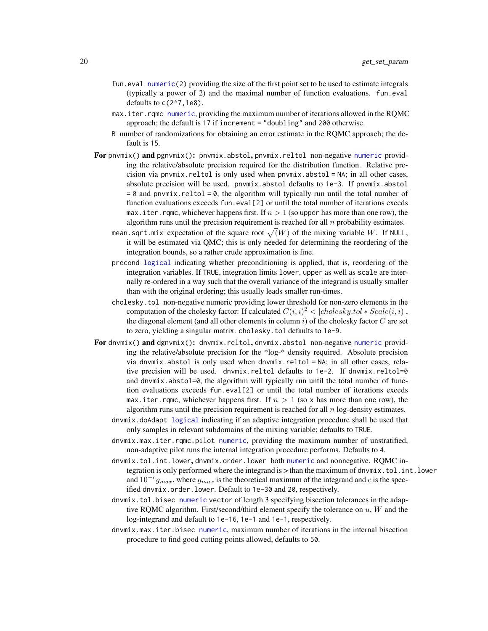- <span id="page-19-0"></span>fun. eval [numeric\(](#page-0-0)2) providing the size of the first point set to be used to estimate integrals (typically a power of 2) and the maximal number of function evaluations. fun.eval defaults to  $c(2^2, 7, 1e8)$ .
- max.iter.rqmc [numeric](#page-0-0), providing the maximum number of iterations allowed in the RQMC approach; the default is 17 if increment = "doubling" and 200 otherwise.
- B number of randomizations for obtaining an error estimate in the RQMC approach; the default is 15.
- For pnymix() and  $pgnvmix$  : pnymix.abstol, pnymix.reltol non-negative [numeric](#page-0-0) providing the relative/absolute precision required for the distribution function. Relative precision via pnvmix.reltol is only used when pnvmix.abstol = NA; in all other cases, absolute precision will be used. pnvmix.abstol defaults to 1e-3. If pnvmix.abstol  $= 0$  and pnvmix.reltol  $= 0$ , the algorithm will typically run until the total number of function evaluations exceeds fun.eval[2] or until the total number of iterations exeeds max. iter. rqmc, whichever happens first. If  $n > 1$  (so upper has more than one row), the algorithm runs until the precision requirement is reached for all  $n$  probability estimates.
	- mean.sqrt.mix expectation of the square root  $\sqrt(W)$  of the mixing variable  $W.$  If NULL, it will be estimated via QMC; this is only needed for determining the reordering of the integration bounds, so a rather crude approximation is fine.
	- precond [logical](#page-0-0) indicating whether preconditioning is applied, that is, reordering of the integration variables. If TRUE, integration limits lower, upper as well as scale are internally re-ordered in a way such that the overall variance of the integrand is usually smaller than with the original ordering; this usually leads smaller run-times.
	- cholesky.tol non-negative numeric providing lower threshold for non-zero elements in the computation of the cholesky factor: If calculated  $C(i, i)^2 < |cholesky.tol * Scale(i, i)|$ , the diagonal element (and all other elements in column  $i$ ) of the cholesky factor  $C$  are set to zero, yielding a singular matrix. cholesky.tol defaults to 1e-9.
- For dnvmix() and dgnvmix(): dnvmix.reltol, dnvmix.abstol non-negative [numeric](#page-0-0) providing the relative/absolute precision for the \*log-\* density required. Absolute precision via dnvmix.abstol is only used when dnvmix.reltol =  $NA$ ; in all other cases, relative precision will be used. dnvmix.reltol defaults to 1e-2. If dnvmix.reltol=0 and  $d$ nvmix.abstol= $\emptyset$ , the algorithm will typically run until the total number of function evaluations exceeds fun.eval[2] or until the total number of iterations exeeds max. iter. rqmc, whichever happens first. If  $n > 1$  (so x has more than one row), the algorithm runs until the precision requirement is reached for all  $n \log$ -density estimates.
	- dnvmix.doAdapt [logical](#page-0-0) indicating if an adaptive integration procedure shall be used that only samples in relevant subdomains of the mixing variable; defaults to TRUE.
	- dnvmix.max.iter.rqmc.pilot [numeric](#page-0-0), providing the maximum number of unstratified, non-adaptive pilot runs the internal integration procedure performs. Defaults to 4.
	- dnvmix.tol.int.lower, dnvmix.order.lower both [numeric](#page-0-0) and nonnegative. RQMC integration is only performed where the integrand is > than the maximum of dnvmix.tol.int.lower and  $10^{-c}g_{max}$ , where  $g_{max}$  is the theoretical maximum of the integrand and c is the specified dnvmix.order.lower. Default to 1e-30 and 20, respectively.
	- dnvmix.tol.bisec [numeric](#page-0-0) vector of length 3 specifying bisection tolerances in the adaptive RQMC algorithm. First/second/third element specify the tolerance on  $u$ ,  $W$  and the log-integrand and default to 1e-16, 1e-1 and 1e-1, respectively.
	- dnvmix.max.iter.bisec [numeric](#page-0-0), maximum number of iterations in the internal bisection procedure to find good cutting points allowed, defaults to 50.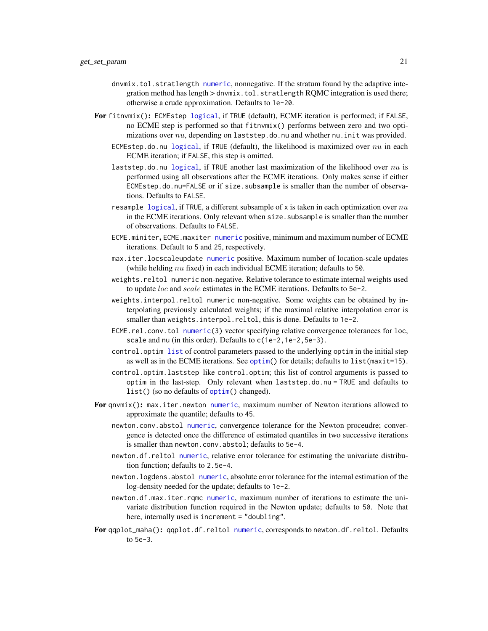- <span id="page-20-0"></span>dnvmix.tol.stratlength [numeric](#page-0-0), nonnegative. If the stratum found by the adaptive integration method has length > dnvmix.tol.stratlength RQMC integration is used there; otherwise a crude approximation. Defaults to 1e-20.
- For fitnvmix(): ECMEstep [logical](#page-0-0), if TRUE (default), ECME iteration is performed; if FALSE, no ECME step is performed so that fitnvmix() performs between zero and two optimizations over  $nu$ , depending on laststep.do.nu and whether nu.init was provided.
	- ECMEstep.do.nu [logical](#page-0-0), if TRUE (default), the likelihood is maximized over  $nu$  in each ECME iteration; if FALSE, this step is omitted.
	- laststep.do.nu [logical](#page-0-0), if TRUE another last maximization of the likelihood over  $nu$  is performed using all observations after the ECME iterations. Only makes sense if either ECMEstep.do.nu=FALSE or if size.subsample is smaller than the number of observations. Defaults to FALSE.
	- resample [logical](#page-0-0), if TRUE, a different subsample of x is taken in each optimization over  $nu$ in the ECME iterations. Only relevant when size, subsample is smaller than the number of observations. Defaults to FALSE.
	- ECME.miniter, ECME.maxiter [numeric](#page-0-0) positive, minimum and maximum number of ECME iterations. Default to 5 and 25, respectively.
	- max.iter.locscaleupdate [numeric](#page-0-0) positive. Maximum number of location-scale updates (while helding  $nu$  fixed) in each individual ECME iteration; defaults to 50.
	- weights.reltol numeric non-negative. Relative tolerance to estimate internal weights used to update loc and scale estimates in the ECME iterations. Defaults to 5e-2.
	- weights.interpol.reltol numeric non-negative. Some weights can be obtained by interpolating previously calculated weights; if the maximal relative interpolation error is smaller than weights.interpol.reltol, this is done. Defaults to 1e-2.
	- ECME.rel.conv.tol [numeric\(](#page-0-0)3) vector specifying relative convergence tolerances for loc, scale and nu (in this order). Defaults to  $c(1e-2,1e-2,5e-3)$ .
	- control.optim [list](#page-0-0) of control parameters passed to the underlying optim in the initial step as well as in the ECME iterations. See [optim\(](#page-0-0)) for details; defaults to list(maxit=15).
	- control.optim.laststep like control.optim; this list of control arguments is passed to optim in the last-step. Only relevant when laststep.do.nu = TRUE and defaults to list() (so no defaults of [optim\(](#page-0-0)) changed).
- For qnvmix(): max.iter.newton [numeric](#page-0-0), maximum number of Newton iterations allowed to approximate the quantile; defaults to 45.
	- newton.conv.abstol [numeric](#page-0-0), convergence tolerance for the Newton proceudre; convergence is detected once the difference of estimated quantiles in two successive iterations is smaller than newton.conv.abstol; defaults to 5e-4.
	- newton.df.reltol [numeric](#page-0-0), relative error tolerance for estimating the univariate distribution function; defaults to 2.5e-4.
	- newton.logdens.abstol [numeric](#page-0-0), absolute error tolerance for the internal estimation of the log-density needed for the update; defaults to 1e-2.
	- newton.df.max.iter.rqmc [numeric](#page-0-0), maximum number of iterations to estimate the univariate distribution function required in the Newton update; defaults to 50. Note that here, internally used is increment = "doubling".
- For qqplot\_maha(): qqplot.df.reltol [numeric](#page-0-0), corresponds to newton.df.reltol. Defaults to 5e-3.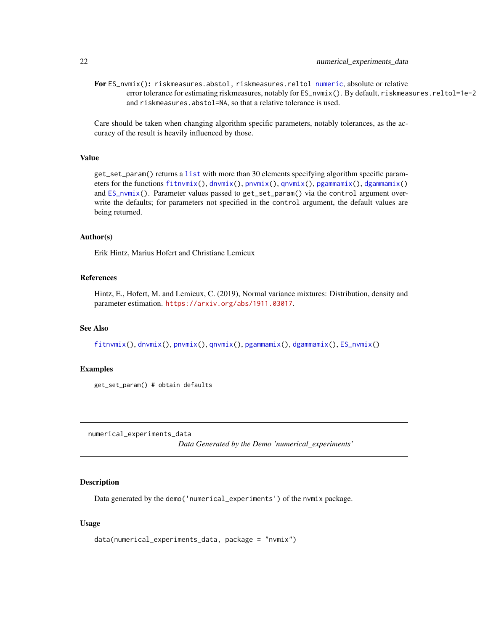<span id="page-21-0"></span>For ES\_nvmix(): riskmeasures.abstol, riskmeasures.reltol [numeric](#page-0-0), absolute or relative error tolerance for estimating riskmeasures, notably for ES\_nvmix(). By default, riskmeasures.reltol=1e-2 and riskmeasures.abstol=NA, so that a relative tolerance is used.

Care should be taken when changing algorithm specific parameters, notably tolerances, as the accuracy of the result is heavily influenced by those.

# Value

get\_set\_param() returns a [list](#page-0-0) with more than 30 elements specifying algorithm specific parameters for the functions [fitnvmix\(](#page-12-1)), [dnvmix\(](#page-9-1)), [pnvmix\(](#page-26-1)), [qnvmix\(](#page-30-1)), [pgammamix\(](#page-15-1)), [dgammamix\(](#page-15-1)) and [ES\\_nvmix\(](#page-37-1)). Parameter values passed to get\_set\_param() via the control argument overwrite the defaults; for parameters not specified in the control argument, the default values are being returned.

#### Author(s)

Erik Hintz, Marius Hofert and Christiane Lemieux

#### References

Hintz, E., Hofert, M. and Lemieux, C. (2019), Normal variance mixtures: Distribution, density and parameter estimation. <https://arxiv.org/abs/1911.03017>.

#### See Also

[fitnvmix\(](#page-12-1)), [dnvmix\(](#page-9-1)), [pnvmix\(](#page-26-1)), [qnvmix\(](#page-30-1)), [pgammamix\(](#page-15-1)), [dgammamix\(](#page-15-1)), [ES\\_nvmix\(](#page-37-1))

#### Examples

get\_set\_param() # obtain defaults

numerical\_experiments\_data

*Data Generated by the Demo 'numerical\_experiments'*

#### Description

Data generated by the demo('numerical\_experiments') of the nvmix package.

#### Usage

```
data(numerical_experiments_data, package = "nvmix")
```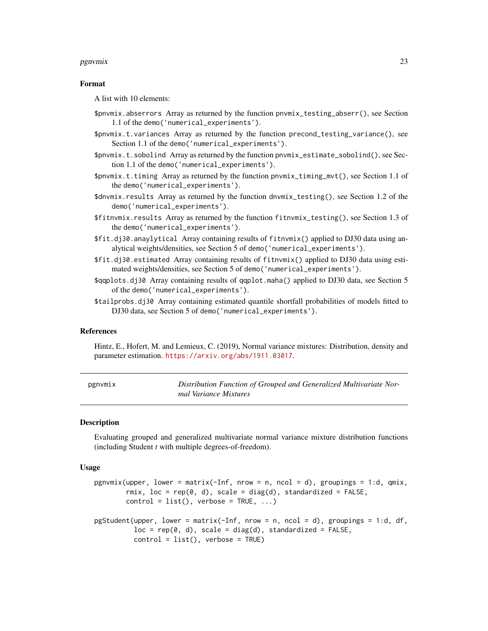#### <span id="page-22-0"></span>pgnvmix 23

#### Format

A list with 10 elements:

- \$pnvmix.abserrors Array as returned by the function pnvmix\_testing\_abserr(), see Section 1.1 of the demo('numerical\_experiments').
- \$pnvmix.t.variances Array as returned by the function precond\_testing\_variance(), see Section 1.1 of the demo('numerical\_experiments').
- \$pnvmix.t.sobolind Array as returned by the function pnvmix\_estimate\_sobolind(), see Section 1.1 of the demo('numerical\_experiments').
- \$pnvmix.t.timing Array as returned by the function pnvmix\_timing\_mvt(), see Section 1.1 of the demo('numerical\_experiments').
- \$dnvmix.results Array as returned by the function dnvmix\_testing(), see Section 1.2 of the demo('numerical\_experiments').
- \$fitnvmix.results Array as returned by the function fitnvmix\_testing(), see Section 1.3 of the demo('numerical\_experiments').
- \$fit.dj30.anaylytical Array containing results of fitnvmix() applied to DJ30 data using analytical weights/densities, see Section 5 of demo('numerical\_experiments').
- \$fit.dj30.estimated Array containing results of fitnvmix() applied to DJ30 data using estimated weights/densities, see Section 5 of demo('numerical\_experiments').
- \$qqplots.dj30 Array containing results of qqplot.maha() applied to DJ30 data, see Section 5 of the demo('numerical\_experiments').
- \$tailprobs.dj30 Array containing estimated quantile shortfall probabilities of models fitted to DJ30 data, see Section 5 of demo('numerical\_experiments').

#### References

Hintz, E., Hofert, M. and Lemieux, C. (2019), Normal variance mixtures: Distribution, density and parameter estimation. <https://arxiv.org/abs/1911.03017>.

<span id="page-22-1"></span>

| pgnvmix | Distribution Function of Grouped and Generalized Multivariate Nor- |
|---------|--------------------------------------------------------------------|
|         | mal Variance Mixtures                                              |

#### <span id="page-22-2"></span>**Description**

Evaluating grouped and generalized multivariate normal variance mixture distribution functions (including Student *t* with multiple degrees-of-freedom).

#### Usage

```
pgnvmix(upper, lower = matrix(-Inf, nrow = n, ncol = d), groupings = 1:d, qmix,
        rmix, loc = rep(0, d), scale = diag(d), standardized = FALSE,
       control = list(), verbose = TRUE, ...)
pgStudent(upper, lower = matrix(-Inf, nrow = n, ncol = d), groupings = 1:d, df,
          loc = rep(0, d), scale = diag(d), standardized = FALSE,
          control = list(), verbose = TRUE)
```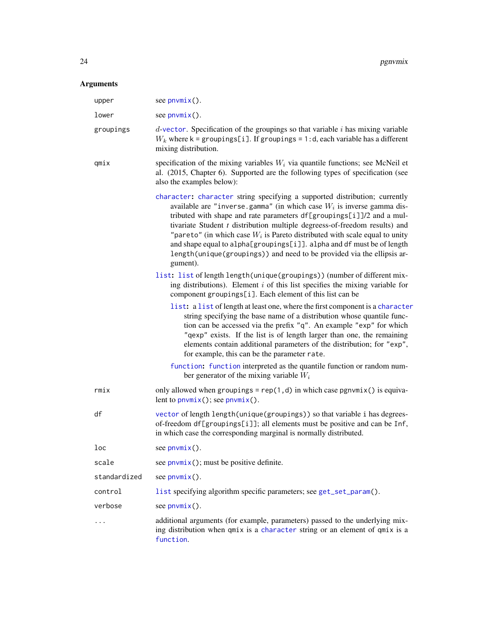# <span id="page-23-0"></span>Arguments

| upper        | see $pnumix()$ .                                                                                                                                                                                                                                                                                                                                                                                                                                                                                                                                               |
|--------------|----------------------------------------------------------------------------------------------------------------------------------------------------------------------------------------------------------------------------------------------------------------------------------------------------------------------------------------------------------------------------------------------------------------------------------------------------------------------------------------------------------------------------------------------------------------|
| lower        | see $pnumix()$ .                                                                                                                                                                                                                                                                                                                                                                                                                                                                                                                                               |
| groupings    | $d$ -vector. Specification of the groupings so that variable $i$ has mixing variable<br>$W_k$ where k = groupings[i]. If groupings = 1:d, each variable has a different<br>mixing distribution.                                                                                                                                                                                                                                                                                                                                                                |
| qmix         | specification of the mixing variables $W_i$ via quantile functions; see McNeil et<br>al. (2015, Chapter 6). Supported are the following types of specification (see<br>also the examples below):                                                                                                                                                                                                                                                                                                                                                               |
|              | character: character string specifying a supported distribution; currently<br>available are "inverse.gamma" (in which case $W_i$ is inverse gamma dis-<br>tributed with shape and rate parameters df[groupings[i]]/2 and a mul-<br>tivariate Student t distribution multiple degreess-of-freedom results) and<br>"pareto" (in which case $W_i$ is Pareto distributed with scale equal to unity<br>and shape equal to alpha[groupings[i]]. alpha and df must be of length<br>length(unique(groupings)) and need to be provided via the ellipsis ar-<br>gument). |
|              | list: list of length length (unique (groupings)) (number of different mix-<br>ing distributions). Element $i$ of this list specifies the mixing variable for<br>component groupings[i]. Each element of this list can be                                                                                                                                                                                                                                                                                                                                       |
|              | list: a list of length at least one, where the first component is a character<br>string specifying the base name of a distribution whose quantile func-<br>tion can be accessed via the prefix "q". An example "exp" for which<br>"qexp" exists. If the list is of length larger than one, the remaining<br>elements contain additional parameters of the distribution; for "exp",<br>for example, this can be the parameter rate.                                                                                                                             |
|              | function: function interpreted as the quantile function or random num-<br>ber generator of the mixing variable $W_i$                                                                                                                                                                                                                                                                                                                                                                                                                                           |
| rmix         | only allowed when groupings = $rep(1,d)$ in which case pgnvmix() is equiva-<br>lent to $p_nw_n$ (); see $p_nw_n$ ().                                                                                                                                                                                                                                                                                                                                                                                                                                           |
| df           | vector of length length (unique (groupings)) so that variable i has degrees-<br>of-freedom df[groupings[i]]; all elements must be positive and can be Inf,<br>in which case the corresponding marginal is normally distributed.                                                                                                                                                                                                                                                                                                                                |
| loc          | see $pnumix()$ .                                                                                                                                                                                                                                                                                                                                                                                                                                                                                                                                               |
| scale        | see $p_{\text{nv}}(x)$ ; must be positive definite.                                                                                                                                                                                                                                                                                                                                                                                                                                                                                                            |
| standardized | see $pnumix()$ .                                                                                                                                                                                                                                                                                                                                                                                                                                                                                                                                               |
| control      | list specifying algorithm specific parameters; see get_set_param().                                                                                                                                                                                                                                                                                                                                                                                                                                                                                            |
| verbose      | see $pnumix()$ .                                                                                                                                                                                                                                                                                                                                                                                                                                                                                                                                               |
|              | additional arguments (for example, parameters) passed to the underlying mix-<br>ing distribution when qmix is a character string or an element of qmix is a<br>function.                                                                                                                                                                                                                                                                                                                                                                                       |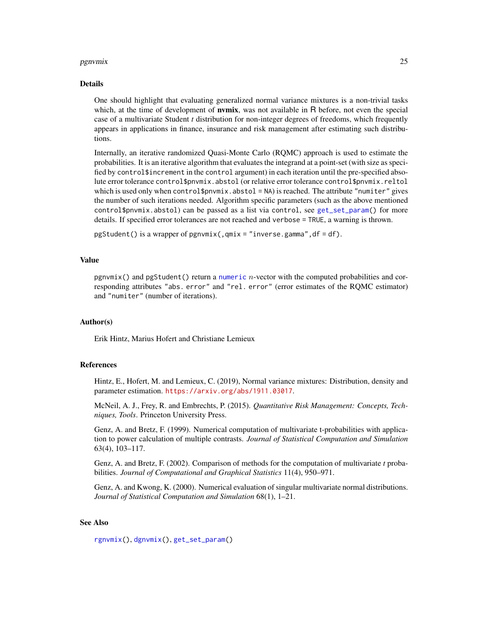#### <span id="page-24-0"></span>pgnvmix 25

#### Details

One should highlight that evaluating generalized normal variance mixtures is a non-trivial tasks which, at the time of development of **nvmix**, was not available in R before, not even the special case of a multivariate Student *t* distribution for non-integer degrees of freedoms, which frequently appears in applications in finance, insurance and risk management after estimating such distributions.

Internally, an iterative randomized Quasi-Monte Carlo (RQMC) approach is used to estimate the probabilities. It is an iterative algorithm that evaluates the integrand at a point-set (with size as specified by control \$increment in the control argument) in each iteration until the pre-specified absolute error tolerance control\$pnvmix.abstol (or relative error tolerance control\$pnvmix.reltol which is used only when control\$pnvmix.abstol =  $NA$ ) is reached. The attribute "numiter" gives the number of such iterations needed. Algorithm specific parameters (such as the above mentioned control\$pnvmix.abstol) can be passed as a list via control, see [get\\_set\\_param\(](#page-18-1)) for more details. If specified error tolerances are not reached and verbose = TRUE, a warning is thrown.

pgStudent() is a wrapper of pgnvmix(,qmix = "inverse.gamma",df = df).

#### Value

pgnvmix() and pgStudent() return a [numeric](#page-0-0) n-vector with the computed probabilities and corresponding attributes "abs. error" and "rel. error" (error estimates of the RQMC estimator) and "numiter" (number of iterations).

#### Author(s)

Erik Hintz, Marius Hofert and Christiane Lemieux

#### References

Hintz, E., Hofert, M. and Lemieux, C. (2019), Normal variance mixtures: Distribution, density and parameter estimation. <https://arxiv.org/abs/1911.03017>.

McNeil, A. J., Frey, R. and Embrechts, P. (2015). *Quantitative Risk Management: Concepts, Techniques, Tools*. Princeton University Press.

Genz, A. and Bretz, F. (1999). Numerical computation of multivariate t-probabilities with application to power calculation of multiple contrasts. *Journal of Statistical Computation and Simulation* 63(4), 103–117.

Genz, A. and Bretz, F. (2002). Comparison of methods for the computation of multivariate *t* probabilities. *Journal of Computational and Graphical Statistics* 11(4), 950–971.

Genz, A. and Kwong, K. (2000). Numerical evaluation of singular multivariate normal distributions. *Journal of Statistical Computation and Simulation* 68(1), 1–21.

# See Also

[rgnvmix\(](#page-34-1)), [dgnvmix\(](#page-6-1)), [get\\_set\\_param\(](#page-18-1))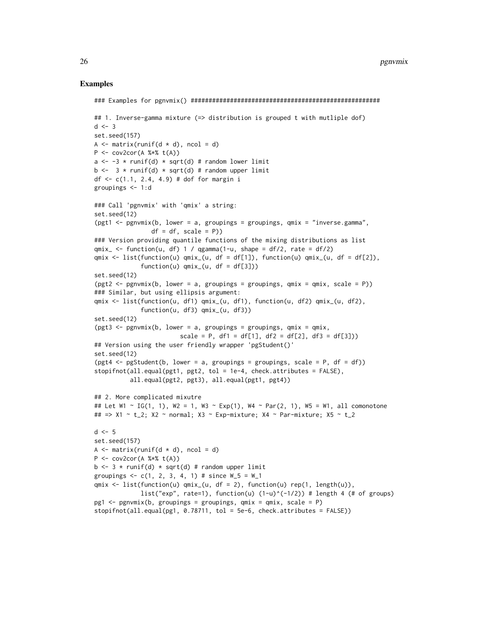#### Examples

```
### Examples for pgnvmix() #####################################################
## 1. Inverse-gamma mixture (=> distribution is grouped t with mutliple dof)
d \leq -3set.seed(157)
A \leq matrix(runif(d \neq d), ncol = d)
P \leq -\text{cov2cor}(A \text{ % } * \text{ % } t(A))a \le -3 * runif(d) * sqrt(d) # random lower limit
b \le -3 * runif(d) * sqrt(d) # random upper limit
df \leftarrow c(1.1, 2.4, 4.9) # dof for margin i
groupings <- 1:d
### Call 'pgnvmix' with 'qmix' a string:
set.seed(12)
(pgt1 <- pgnvmix(b, lower = a, groupings = groupings, qmix = "inverse.gamma",
                df = df, scale = P))
### Version providing quantile functions of the mixing distributions as list
qmix_{-} \leftarrow function(u, df) 1 / qgamma(1-u, shape = df/2, rate = df/2)qmix <- list(function(u) qmix_{u}, df = df[1]), function(u) qmix_{u}, df = df[2]),
              function(u) qmix_{u}(u, df = df[3]))set.seed(12)
(pgt2 \leq -pgnvmix(b, lower = a, groupings = groupings, qmix = qmix, scale = P))### Similar, but using ellipsis argument:
qmix <- list(function(u, df1) qmix_(u, df1), function(u, df2) qmix_(u, df2),
              function(u, df3) qmix_(u, df3))
set.seed(12)
(pgt3 <- pgnvmix(b, lower = a, groupings = groupings, qmix = qmix,scale = P, df1 = df[1], df2 = df[2], df3 = df[3]))
## Version using the user friendly wrapper 'pgStudent()'
set.seed(12)
(pgt4 \leq -pgStudent(b, lower = a, groupings = groupings, scale = P, df = df))stopifnot(all.equal(pgt1, pgt2, tol = 1e-4, check.attributes = FALSE),
          all.equal(pgt2, pgt3), all.equal(pgt1, pgt4))
## 2. More complicated mixutre
## Let W1 ~ IG(1, 1), W2 = 1, W3 ~ Exp(1), W4 ~ Par(2, 1), W5 = W1, all comonotone
## => X1 ~ t_2; X2 ~ normal; X3 ~ Exp-mixture; X4 ~ Par-mixture; X5 ~ t_2
d \leq -5set.seed(157)
A \leq matrix(runif(d \neq d), ncol = d)
P \le -\text{cov2cor}(A \text{ % } * \text{ % } t(A))b \le -3 * runif(d) * sqrt(d) # random upper limit
groupings \leq -c(1, 2, 3, 4, 1) # since W_5 = W_1qmix <- list(function(u) qmix_(u, df = 2), function(u) rep(1, length(u)),
             list("exp", rate=1), function(u) (1-u)^{(-1/2)} # length 4 (# of groups)
pg1 \leq-pgnvmix(b, groupings = groupings, qmix = qmix, scale = P)stopifnot(all.equal(pg1, 0.78711, tol = 5e-6, check.attributes = FALSE))
```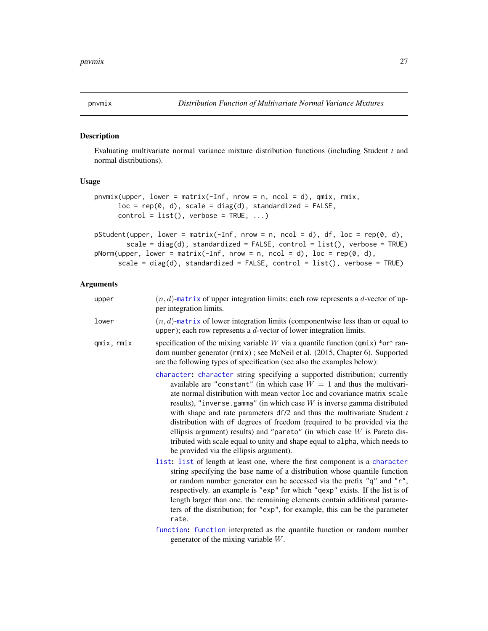<span id="page-26-1"></span><span id="page-26-0"></span>

#### Description

Evaluating multivariate normal variance mixture distribution functions (including Student *t* and normal distributions).

#### Usage

```
pnvmix(upper, lower = matrix(-Inf, nrow = n, ncol = d), qmix, rmix,
     loc = rep(0, d), scale = diag(d), standardized = FALSE,
     control = list(), verbose = TRUE, ...)
```

```
pStudent(upper, lower = matrix(-Inf, nrow = n, ncol = d), df, loc = rep(\emptyset, d),
        scale = diag(d), standardized = FALSE, control = list(), verbose = TRUE)
pNorm(upper, lower = matrix(-Inf, nrow = n, ncol = d), loc = rep(0, d),scale = diag(d), standardized = FALSE, control = list(), verbose = TRUE)
```
# Arguments

| upper      | $(n, d)$ -matrix of upper integration limits; each row represents a d-vector of up-<br>per integration limits.                                                                                                                                                                                                                                                                                                                                                                                                                                                                                                                                                                    |
|------------|-----------------------------------------------------------------------------------------------------------------------------------------------------------------------------------------------------------------------------------------------------------------------------------------------------------------------------------------------------------------------------------------------------------------------------------------------------------------------------------------------------------------------------------------------------------------------------------------------------------------------------------------------------------------------------------|
| lower      | $(n, d)$ -matrix of lower integration limits (componentwise less than or equal to<br>upper); each row represents a $d$ -vector of lower integration limits.                                                                                                                                                                                                                                                                                                                                                                                                                                                                                                                       |
| qmix, rmix | specification of the mixing variable W via a quantile function ( $qmix$ ) *or* ran-<br>dom number generator (rmix); see McNeil et al. (2015, Chapter 6). Supported<br>are the following types of specification (see also the examples below):                                                                                                                                                                                                                                                                                                                                                                                                                                     |
|            | character: character string specifying a supported distribution; currently<br>available are "constant" (in which case $W = 1$ and thus the multivari-<br>ate normal distribution with mean vector loc and covariance matrix scale<br>results), "inverse.gamma" (in which case $W$ is inverse gamma distributed<br>with shape and rate parameters $df/2$ and thus the multivariate Student $t$<br>distribution with df degrees of freedom (required to be provided via the<br>ellipsis argument) results) and "pareto" (in which case $W$ is Pareto dis-<br>tributed with scale equal to unity and shape equal to alpha, which needs to<br>be provided via the ellipsis argument). |
|            | list: list of length at least one, where the first component is a character<br>string specifying the base name of a distribution whose quantile function<br>or random number generator can be accessed via the prefix "q" and "r",<br>respectively. an example is "exp" for which "qexp" exists. If the list is of<br>length larger than one, the remaining elements contain additional parame-<br>ters of the distribution; for "exp", for example, this can be the parameter<br>rate.                                                                                                                                                                                           |
|            | function: function interpreted as the quantile function or random number<br>generator of the mixing variable $W$ .                                                                                                                                                                                                                                                                                                                                                                                                                                                                                                                                                                |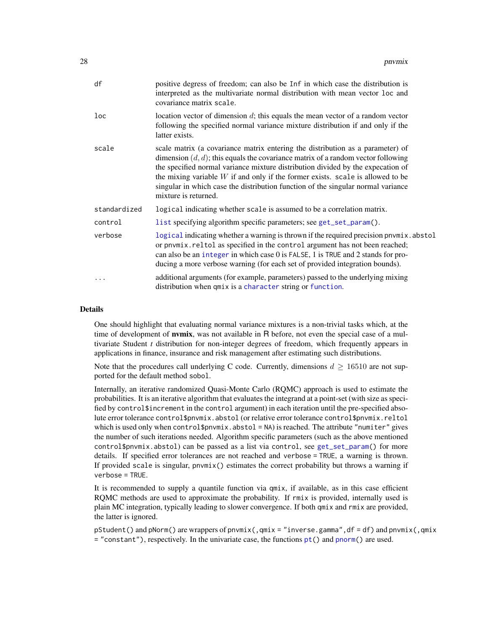<span id="page-27-0"></span>

| df              | positive degress of freedom; can also be Inf in which case the distribution is<br>interpreted as the multivariate normal distribution with mean vector loc and<br>covariance matrix scale.                                                                                                                                                                                                                                                               |
|-----------------|----------------------------------------------------------------------------------------------------------------------------------------------------------------------------------------------------------------------------------------------------------------------------------------------------------------------------------------------------------------------------------------------------------------------------------------------------------|
| $_{\text{loc}}$ | location vector of dimension $d$ ; this equals the mean vector of a random vector<br>following the specified normal variance mixture distribution if and only if the<br>latter exists.                                                                                                                                                                                                                                                                   |
| scale           | scale matrix (a covariance matrix entering the distribution as a parameter) of<br>dimension $(d, d)$ ; this equals the covariance matrix of a random vector following<br>the specified normal variance mixture distribution divided by the expecation of<br>the mixing variable $W$ if and only if the former exists. scale is allowed to be<br>singular in which case the distribution function of the singular normal variance<br>mixture is returned. |
| standardized    | logical indicating whether scale is assumed to be a correlation matrix.                                                                                                                                                                                                                                                                                                                                                                                  |
| control         | list specifying algorithm specific parameters; see get_set_param().                                                                                                                                                                                                                                                                                                                                                                                      |
| verbose         | logical indicating whether a warning is thrown if the required precision pnvmix.abstol<br>or pnvmix. reltol as specified in the control argument has not been reached;<br>can also be an integer in which case 0 is FALSE, 1 is TRUE and 2 stands for pro-<br>ducing a more verbose warning (for each set of provided integration bounds).                                                                                                               |
| $\ddotsc$       | additional arguments (for example, parameters) passed to the underlying mixing<br>distribution when qmix is a character string or function.                                                                                                                                                                                                                                                                                                              |

#### Details

One should highlight that evaluating normal variance mixtures is a non-trivial tasks which, at the time of development of **nvmix**, was not available in R before, not even the special case of a multivariate Student *t* distribution for non-integer degrees of freedom, which frequently appears in applications in finance, insurance and risk management after estimating such distributions.

Note that the procedures call underlying C code. Currently, dimensions  $d \geq 16510$  are not supported for the default method sobol.

Internally, an iterative randomized Quasi-Monte Carlo (RQMC) approach is used to estimate the probabilities. It is an iterative algorithm that evaluates the integrand at a point-set (with size as specified by control\$increment in the control argument) in each iteration until the pre-specified absolute error tolerance control\$pnvmix.abstol (or relative error tolerance control\$pnvmix.reltol which is used only when control\$pnvmix.abstol =  $NA$ ) is reached. The attribute "numiter" gives the number of such iterations needed. Algorithm specific parameters (such as the above mentioned control\$pnvmix.abstol) can be passed as a list via control, see [get\\_set\\_param\(](#page-18-1)) for more details. If specified error tolerances are not reached and verbose = TRUE, a warning is thrown. If provided scale is singular,  $pnumix()$  estimates the correct probability but throws a warning if verbose = TRUE.

It is recommended to supply a quantile function via qmix, if available, as in this case efficient RQMC methods are used to approximate the probability. If rmix is provided, internally used is plain MC integration, typically leading to slower convergence. If both qmix and rmix are provided, the latter is ignored.

pStudent() and pNorm() are wrappers of pnvmix(,qmix = "inverse.gamma",df = df) and pnvmix(,qmix = "constant"), respectively. In the univariate case, the functions  $pt()$  $pt()$  and [pnorm\(](#page-0-0)) are used.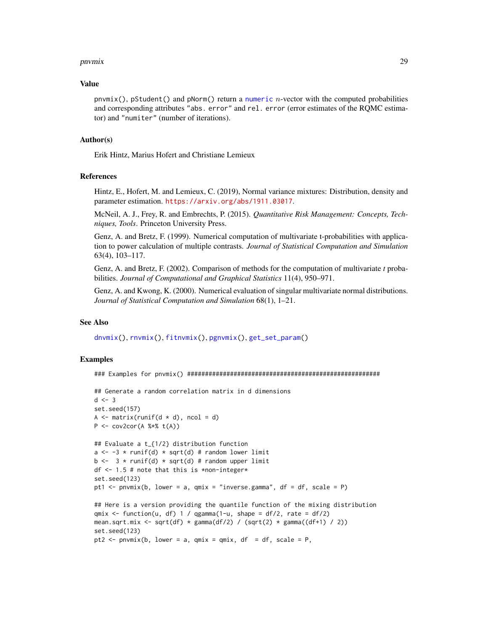#### <span id="page-28-0"></span>pnvmix 29

#### Value

pnvmix(), pStudent() and pNorm() return a [numeric](#page-0-0) n-vector with the computed probabilities and corresponding attributes "abs. error" and rel. error (error estimates of the RQMC estimator) and "numiter" (number of iterations).

#### Author(s)

Erik Hintz, Marius Hofert and Christiane Lemieux

#### References

Hintz, E., Hofert, M. and Lemieux, C. (2019), Normal variance mixtures: Distribution, density and parameter estimation. <https://arxiv.org/abs/1911.03017>.

McNeil, A. J., Frey, R. and Embrechts, P. (2015). *Quantitative Risk Management: Concepts, Techniques, Tools*. Princeton University Press.

Genz, A. and Bretz, F. (1999). Numerical computation of multivariate t-probabilities with application to power calculation of multiple contrasts. *Journal of Statistical Computation and Simulation* 63(4), 103–117.

Genz, A. and Bretz, F. (2002). Comparison of methods for the computation of multivariate *t* probabilities. *Journal of Computational and Graphical Statistics* 11(4), 950–971.

Genz, A. and Kwong, K. (2000). Numerical evaluation of singular multivariate normal distributions. *Journal of Statistical Computation and Simulation* 68(1), 1–21.

#### See Also

[dnvmix\(](#page-9-1)), [rnvmix\(](#page-38-1)), [fitnvmix\(](#page-12-1)), [pgnvmix\(](#page-22-1)), [get\\_set\\_param\(](#page-18-1))

# Examples

### Examples for pnvmix() ######################################################

```
## Generate a random correlation matrix in d dimensions
d \le -3set.seed(157)
A \leq matrix(runif(d \neq d), ncol = d)
P \leq -\text{cov2cor}(A \text{ % } * \text{ % } t(A))## Evaluate a t_{1/2} distribution function
a \leftarrow -3 * runif(d) * sqrt(d) # random lower limit
b \leftarrow 3 * runif(d) * sqrt(d) # random upper limitdf <- 1.5 # note that this is *non-integer*
set.seed(123)
pt1 <- pnvmix(b, lower = a, qmix = "inverse.gamma", df = df, scale = P)
## Here is a version providing the quantile function of the mixing distribution
qmix \le function(u, df) 1 / qgamma(1-u, shape = df/2, rate = df/2)
mean.sqrt.mix <- sqrt(df) * gamma(df/2) / (sqrt(2) * gamma((df+1) / 2))
set.seed(123)
pt2 <- pnvmix(b, lower = a, qmix = qmix, df = df, scale = P,
```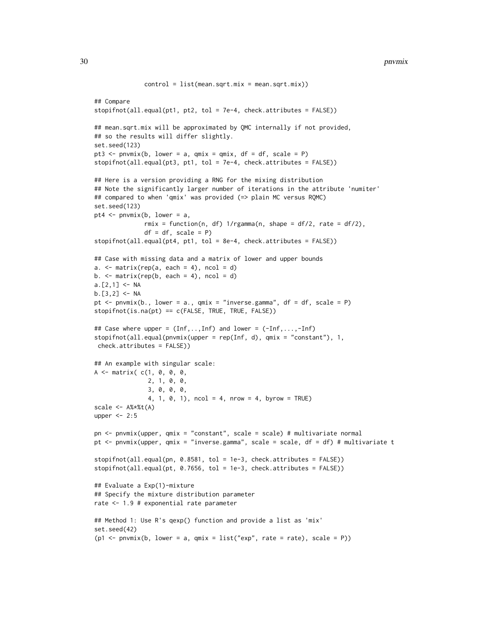```
control = list(mean.sqrt.mix = mean.sqrt.mix))## Compare
stopifnot(all.equal(pt1, pt2, tol = 7e-4, check.attributes = FALSE))
## mean.sqrt.mix will be approximated by QMC internally if not provided,
## so the results will differ slightly.
set.seed(123)
pt3 \le pnvmix(b, lower = a, qmix = qmix, df = df, scale = P)
stopifnot(all.equal(pt3, pt1, tol = 7e-4, check.attributes = FALSE))
## Here is a version providing a RNG for the mixing distribution
## Note the significantly larger number of iterations in the attribute 'numiter'
## compared to when 'qmix' was provided (=> plain MC versus RQMC)
set.seed(123)
pt4 \leq pnvmix(b, lower = a,
              rmix = function(n, df) 1/rgamma(n, shape = df/2, rate = df/2),
              df = df, scale = P)
stopifnot(all.equal(pt4, pt1, tol = 8e-4, check.attributes = FALSE))
## Case with missing data and a matrix of lower and upper bounds
a. \leq matrix(rep(a, each = 4), ncol = d)
b. \le matrix(rep(b, each = 4), ncol = d)
a.[2,1] < -NAb.[3,2] < -NApt \le pnvmix(b., lower = a., qmix = "inverse.gamma", df = df, scale = P)
stopifnot(is.na(pt) == c(FALSE, TRUE, TRUE, FALSE))
## Case where upper = (Inf,..,Inf) and lower = (-Inf,...,-Inf)
stopifnot(all.equal(pnvmix(upper = rep(Inf, d), qmix = "constant"), 1,
check.attributes = FALSE))
## An example with singular scale:
A \leq matrix( C(1, 0, 0, 0, 0)2, 1, 0, 0,
               3, 0, 0, 0,
               4, 1, 0, 1), ncol = 4, nrow = 4, byrow = TRUE)
scale < - A% * %t(A)upper <- 2:5
pn <- pnvmix(upper, qmix = "constant", scale = scale) # multivariate normal
pt <- pnvmix(upper, qmix = "inverse.gamma", scale = scale, df = df) # multivariate t
stopifnot(all.equal(pn, 0.8581, tol = 1e-3, check.attributes = FALSE))
stopifnot(all.equal(pt, 0.7656, tol = 1e-3, check.attributes = FALSE))
## Evaluate a Exp(1)-mixture
## Specify the mixture distribution parameter
rate <- 1.9 # exponential rate parameter
## Method 1: Use R's qexp() function and provide a list as 'mix'
set.seed(42)
(p1 \leq -pnvmix(b, lower = a, qmix = list("exp", rate = rate), scale = P))
```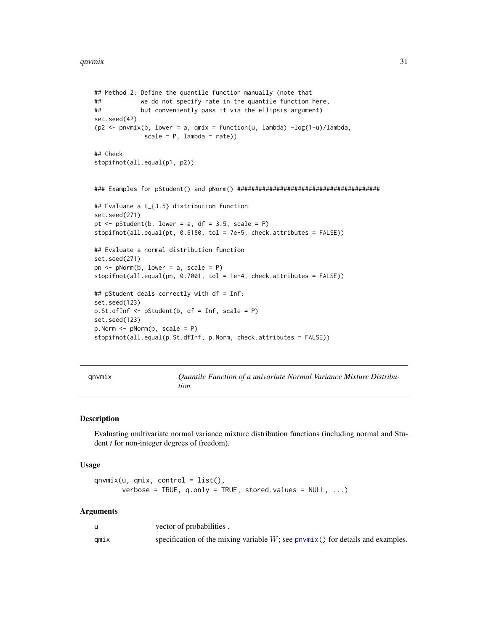```
## Method 2: Define the quantile function manually (note that
## we do not specify rate in the quantile function here,
## but conveniently pass it via the ellipsis argument)
set.seed(42)
(p2 <- pnvmix(b, lower = a, qmix = function(u, lambda) -log(1-u)/lambda,
             scale = P, lambda = rate)## Check
stopifnot(all.equal(p1, p2))
### Examples for pStudent() and pNorm() ########################################
## Evaluate a t_{3.5} distribution function
set.seed(271)
pt \leq pStudent(b, lower = a, df = 3.5, scale = P)
stopifnot(all.equal(pt, 0.6180, tol = 7e-5, check.attributes = FALSE))
## Evaluate a normal distribution function
set.seed(271)
pn \leq pNorm(b, lower = a, scale = P)
stopifnot(all.equal(pn, 0.7001, tol = 1e-4, check.attributes = FALSE))
## pStudent deals correctly with df = Inf:
set.seed(123)
p.St.dfInf <- pStudent(b, df = Inf, scale = P)
set.seed(123)
p.Norm <- pNorm(b, scale = P)
stopifnot(all.equal(p.St.dfInf, p.Norm, check.attributes = FALSE))
```
<span id="page-30-1"></span>qnvmix *Quantile Function of a univariate Normal Variance Mixture Distribution*

#### Description

Evaluating multivariate normal variance mixture distribution functions (including normal and Student *t* for non-integer degrees of freedom).

#### Usage

```
qnvmix(u, qmix, control = list(),
       verbose = TRUE, q.only = TRUE, stored.values = NULL, ...)
```
#### Arguments

|      | vector of probabilities.                                                                    |
|------|---------------------------------------------------------------------------------------------|
| qmıx | specification of the mixing variable $W$ ; see $p_{\text{nv}}(x)$ for details and examples. |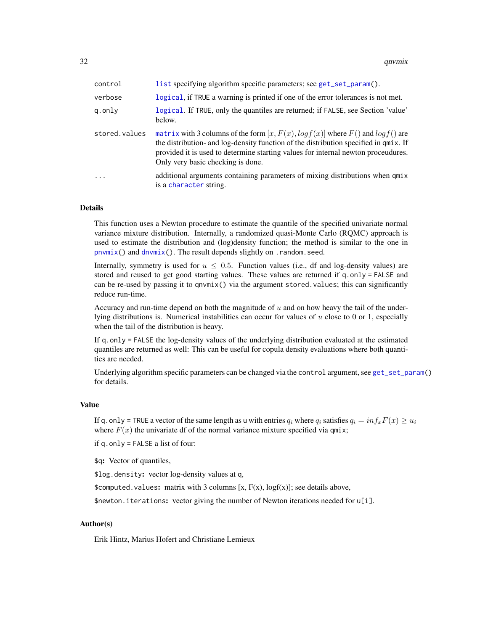<span id="page-31-0"></span>32 qnvmix

| control       | list specifying algorithm specific parameters; see get_set_param().                                                                                                                                                                                                                                     |
|---------------|---------------------------------------------------------------------------------------------------------------------------------------------------------------------------------------------------------------------------------------------------------------------------------------------------------|
| verbose       | logical, if TRUE a warning is printed if one of the error tolerances is not met.                                                                                                                                                                                                                        |
| g.only        | logical. If TRUE, only the quantiles are returned; if FALSE, see Section 'value'<br>below.                                                                                                                                                                                                              |
| stored.values | matrix with 3 columns of the form $[x, F(x), log f(x)]$ where $F()$ and $log f()$ are<br>the distribution- and log-density function of the distribution specified in qmix. If<br>provided it is used to determine starting values for internal newton proceudures.<br>Only very basic checking is done. |
| $\cdot$       | additional arguments containing parameters of mixing distributions when qmix<br>is a character string.                                                                                                                                                                                                  |

# Details

This function uses a Newton procedure to estimate the quantile of the specified univariate normal variance mixture distribution. Internally, a randomized quasi-Monte Carlo (RQMC) approach is used to estimate the distribution and (log)density function; the method is similar to the one in  $p$ nvmix() and  $d$ nvmix(). The result depends slightly on . random. seed.

Internally, symmetry is used for  $u \leq 0.5$ . Function values (i.e., df and log-density values) are stored and reused to get good starting values. These values are returned if  $q$ .only = FALSE and can be re-used by passing it to qnvmix() via the argument stored.values; this can significantly reduce run-time.

Accuracy and run-time depend on both the magnitude of  $u$  and on how heavy the tail of the underlying distributions is. Numerical instabilities can occur for values of  $u$  close to 0 or 1, especially when the tail of the distribution is heavy.

If q.only = FALSE the log-density values of the underlying distribution evaluated at the estimated quantiles are returned as well: This can be useful for copula density evaluations where both quantities are needed.

Underlying algorithm specific parameters can be changed via the control argument, see [get\\_set\\_param\(](#page-18-1)) for details.

# Value

If q.only = TRUE a vector of the same length as u with entries  $q_i$  where  $q_i$  satisfies  $q_i = inf_x F(x) \ge u_i$ where  $F(x)$  the univariate df of the normal variance mixture specified via qmix;

if q.only = FALSE a list of four:

\$q: Vector of quantiles,

\$log.density: vector log-density values at q,

\$computed.values: matrix with 3 columns  $[x, F(x), logf(x)]$ ; see details above,

\$newton.iterations: vector giving the number of Newton iterations needed for u[i].

# Author(s)

Erik Hintz, Marius Hofert and Christiane Lemieux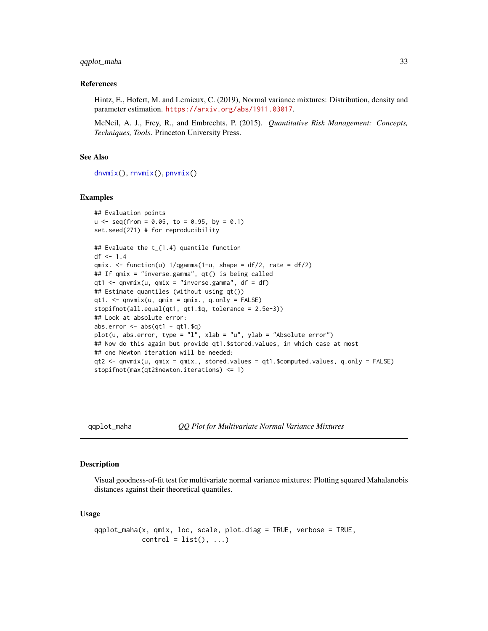#### <span id="page-32-0"></span>qqplot\_maha 33

#### References

Hintz, E., Hofert, M. and Lemieux, C. (2019), Normal variance mixtures: Distribution, density and parameter estimation. <https://arxiv.org/abs/1911.03017>.

McNeil, A. J., Frey, R., and Embrechts, P. (2015). *Quantitative Risk Management: Concepts, Techniques, Tools*. Princeton University Press.

# See Also

[dnvmix\(](#page-9-1)), [rnvmix\(](#page-38-1)), [pnvmix\(](#page-26-1))

#### Examples

```
## Evaluation points
u \le - seq(from = 0.05, to = 0.95, by = 0.1)
set.seed(271) # for reproducibility
## Evaluate the t_{1.4} quantile function
df <- 1.4
qmix. <- function(u) 1/qgamma(1-u, shape = df/2, rate = df/2)
## If qmix = "inverse.gamma", qt() is being called
qt1 <- qnvmix(u, qmix = "inverse.gamma", df = df)
## Estimate quantiles (without using qt())
qt1. \leq qnvmix(u, qmix = qmix., q.only = FALSE)
stopifnot(all.equal(qt1, qt1.$q, tolerance = 2.5e-3))
## Look at absolute error:
abs.error \leq - abs(qt1 - qt1.$q)
plot(u, abs.error, type = "l", xlab = "u", ylab = "Absolute error")
## Now do this again but provide qt1.$stored.values, in which case at most
## one Newton iteration will be needed:
qt2 <- qnvmix(u, qmix = qmix., stored.values = qt1.$computed.values, q.only = FALSE)
stopifnot(max(qt2$newton.iterations) <= 1)
```
<span id="page-32-1"></span>qqplot\_maha *QQ Plot for Multivariate Normal Variance Mixtures*

#### Description

Visual goodness-of-fit test for multivariate normal variance mixtures: Plotting squared Mahalanobis distances against their theoretical quantiles.

#### Usage

```
qqplot_maha(x, qmix, loc, scale, plot.diag = TRUE, verbose = TRUE,
           control = list(), ...)
```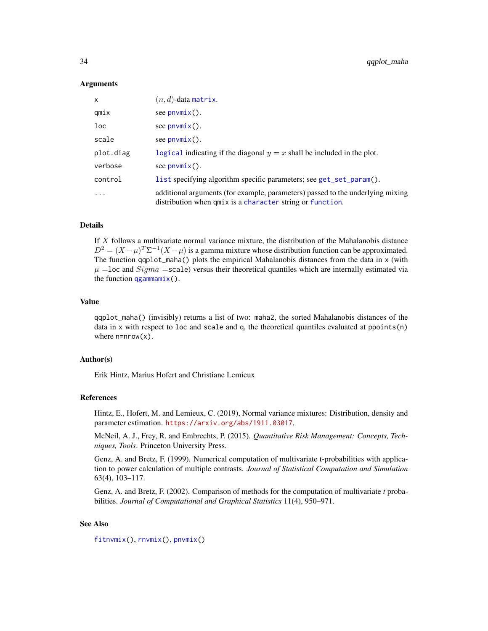#### <span id="page-33-0"></span>Arguments

| x                       | $(n, d)$ -data matrix.                                                                                                                        |
|-------------------------|-----------------------------------------------------------------------------------------------------------------------------------------------|
| qmix                    | see $p_{\text{numix}}()$ .                                                                                                                    |
| $_{\text{loc}}$         | see $p_{\text{numix}}()$ .                                                                                                                    |
| scale                   | see $p_{\text{numix}}()$ .                                                                                                                    |
| plot.diag               | logical indicating if the diagonal $y = x$ shall be included in the plot.                                                                     |
| verbose                 | see $p_{\text{numix}}()$ .                                                                                                                    |
| control                 | list specifying algorithm specific parameters; see get_set_param().                                                                           |
| $\cdot$ $\cdot$ $\cdot$ | additional arguments (for example, parameters) passed to the underlying mixing<br>distribution when $qmix$ is a character string or function. |

#### Details

If  $X$  follows a multivariate normal variance mixture, the distribution of the Mahalanobis distance  $D^2 = (X - \mu)^T \Sigma^{-1} (X - \mu)$  is a gamma mixture whose distribution function can be approximated. The function qqplot\_maha() plots the empirical Mahalanobis distances from the data in x (with  $\mu$  =loc and  $Sigma$  =scale) versus their theoretical quantiles which are internally estimated via the function  $qg$ ammamix().

# Value

qqplot\_maha() (invisibly) returns a list of two: maha2, the sorted Mahalanobis distances of the data in x with respect to loc and scale and q, the theoretical quantiles evaluated at ppoints(n) where  $n=nrow(x)$ .

#### Author(s)

Erik Hintz, Marius Hofert and Christiane Lemieux

#### References

Hintz, E., Hofert, M. and Lemieux, C. (2019), Normal variance mixtures: Distribution, density and parameter estimation. <https://arxiv.org/abs/1911.03017>.

McNeil, A. J., Frey, R. and Embrechts, P. (2015). *Quantitative Risk Management: Concepts, Techniques, Tools*. Princeton University Press.

Genz, A. and Bretz, F. (1999). Numerical computation of multivariate t-probabilities with application to power calculation of multiple contrasts. *Journal of Statistical Computation and Simulation* 63(4), 103–117.

Genz, A. and Bretz, F. (2002). Comparison of methods for the computation of multivariate *t* probabilities. *Journal of Computational and Graphical Statistics* 11(4), 950–971.

#### See Also

[fitnvmix\(](#page-12-1)), [rnvmix\(](#page-38-1)), [pnvmix\(](#page-26-1))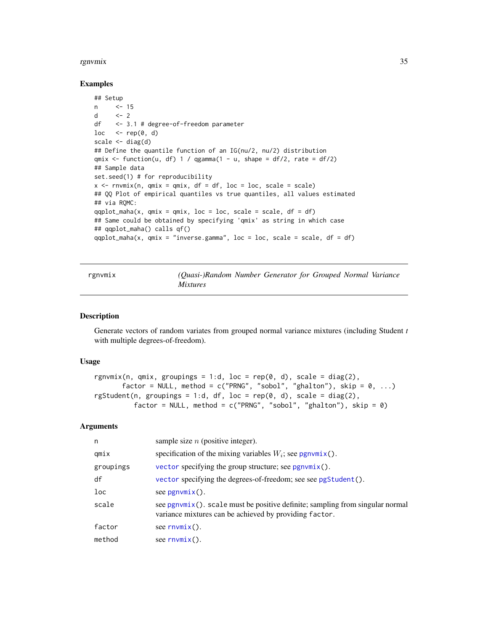#### <span id="page-34-0"></span>rgnvmix 35

#### Examples

```
## Setup
n <- 15
d <-2df <- 3.1 # degree-of-freedom parameter
loc \leq -rep(0, d)scale \leq diag(d)
## Define the quantile function of an IG(nu/2, nu/2) distribution
qmix \le function(u, df) 1 / qgamma(1 - u, shape = df/2, rate = df/2)
## Sample data
set.seed(1) # for reproducibility
x \leq -rnvmix(n, qmix = qmix, df = df, loc = loc, scale = scale)
## QQ Plot of empirical quantiles vs true quantiles, all values estimated
## via RQMC:
qqplot_maha(x, qmix = qmix, loc = loc, scale = scale, df = df)
## Same could be obtained by specifying 'qmix' as string in which case
## qqplot_maha() calls qf()
qqplot_maha(x, qmix = "inverse.gamma", loc = loc, scale = scale, df = df)
```
<span id="page-34-1"></span>

| rgnvmix | (Quasi-)Random Number Generator for Grouped Normal Variance |  |  |  |
|---------|-------------------------------------------------------------|--|--|--|
|         | <i>Mixtures</i>                                             |  |  |  |

# Description

Generate vectors of random variates from grouped normal variance mixtures (including Student *t* with multiple degrees-of-freedom).

#### Usage

```
rgnvmix(n, qmix, groupings = 1:d, loc = rep(0, d), scale = diag(2),
       factor = NULL, method = c("PRNG", "sobol", "ghalton"), skip = 0, ...)rgStudent(n, groupings = 1:d, df, loc = rep(0, d), scale = diag(2),
          factor = NULL, method = c("PRNG", "sobol", "ghalton"), skip = <math>\emptyset</math>)
```
#### Arguments

| n         | sample size $n$ (positive integer).                                                                                                        |
|-----------|--------------------------------------------------------------------------------------------------------------------------------------------|
| qmix      | specification of the mixing variables $W_i$ ; see pgnvmix().                                                                               |
| groupings | vector specifying the group structure; see $pgnvmix()$ .                                                                                   |
| df        | vector specifying the degrees-of-freedom; see see pgStudent().                                                                             |
| loc       | see $pgnvmix()$ .                                                                                                                          |
| scale     | see $pgnvmix()$ . scale must be positive definite; sampling from singular normal<br>variance mixtures can be achieved by providing factor. |
| factor    | see $rnvmix()$ .                                                                                                                           |
| method    | see $rnvmix()$ .                                                                                                                           |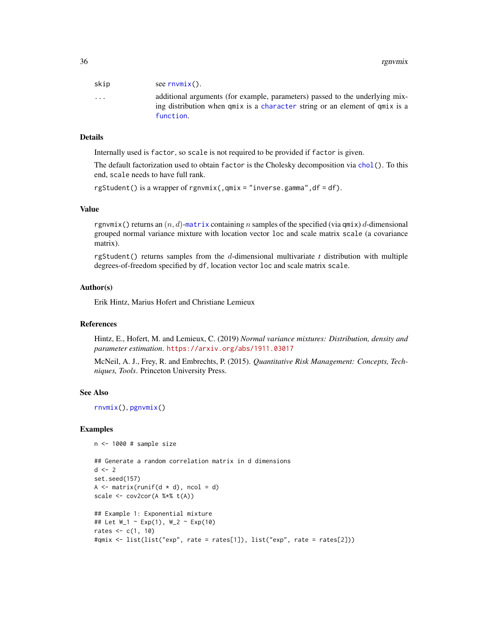<span id="page-35-0"></span>

| skip                    | see $rnvmix()$ .                                                                                                                                                |
|-------------------------|-----------------------------------------------------------------------------------------------------------------------------------------------------------------|
| $\cdot$ $\cdot$ $\cdot$ | additional arguments (for example, parameters) passed to the underlying mix-<br>ing distribution when $qmix$ is a character string or an element of $qmix$ is a |
|                         | function.                                                                                                                                                       |

# Details

Internally used is factor, so scale is not required to be provided if factor is given.

The default factorization used to obtain factor is the Cholesky decomposition via [chol\(](#page-0-0)). To this end, scale needs to have full rank.

```
rgStudent() is a wrapper of rgnvmix(,qmix = "inverse.gamma",df = df).
```
# Value

rgnvmix() returns an  $(n, d)$ -[matrix](#page-0-0) containing n samples of the specified (via qmix) d-dimensional grouped normal variance mixture with location vector loc and scale matrix scale (a covariance matrix).

rgStudent() returns samples from the d-dimensional multivariate *t* distribution with multiple degrees-of-freedom specified by df, location vector loc and scale matrix scale.

#### Author(s)

Erik Hintz, Marius Hofert and Christiane Lemieux

#### References

Hintz, E., Hofert, M. and Lemieux, C. (2019) *Normal variance mixtures: Distribution, density and parameter estimation*. <https://arxiv.org/abs/1911.03017>

McNeil, A. J., Frey, R. and Embrechts, P. (2015). *Quantitative Risk Management: Concepts, Techniques, Tools*. Princeton University Press.

# See Also

[rnvmix\(](#page-38-1)), [pgnvmix\(](#page-22-1))

#### Examples

```
n <- 1000 # sample size
```

```
## Generate a random correlation matrix in d dimensions
d \le -2set.seed(157)
A \leftarrow matrix(runif(d \star d), ncol = d)
scale \leq cov2cor(A %*% t(A))
## Example 1: Exponential mixture
## Let W_1 ~ Exp(1), W_2 ~ Exp(10)
rates \leq c(1, 10)#qmix <- list(list("exp", rate = rates[1]), list("exp", rate = rates[2]))
```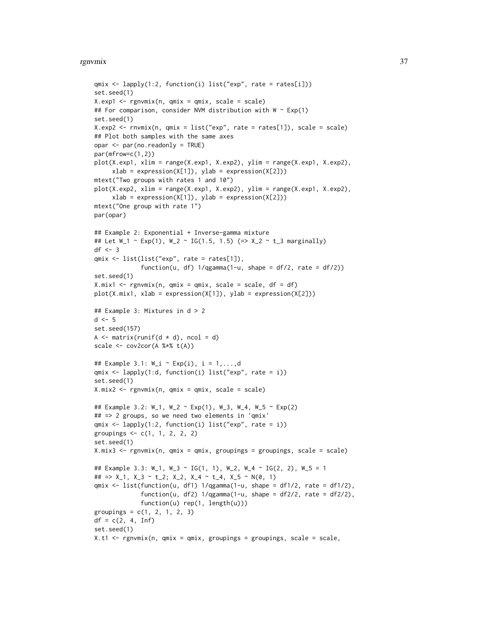#### rgnvmix 37

```
qmix <- lapply(1:2, function(i) list("exp", rate = rates[i]))
set.seed(1)
X.exp1 <- rgnvmix(n, qmix = qmix, scale = scale)
## For comparison, consider NVM distribution with W \sim Exp(1)
set.seed(1)
X. exp2 \leq rnvmix(n, qmix = list("exp", rate = rates[1]), scale = scale)
## Plot both samples with the same axes
opar <- par(no.readonly = TRUE)
par(mfrow=c(1,2))
plot(X.exp1, xlim = range(X.exp1, X.exp2), ylim = range(X.exp1, X.exp2),
     xlab = expression(X[1]), ylab = expression(X[2]))
mtext("Two groups with rates 1 and 10")
plot(X.exp2, xlim = range(X.exp1, X.exp2), ylim = range(X.exp1, X.exp2),
     xlab = expression(X[1]), ylab = expression(X[2]))mtext("One group with rate 1")
par(opar)
## Example 2: Exponential + Inverse-gamma mixture
## Let W_1 \sim Exp(1), W_2 \sim IG(1.5, 1.5) (=> X_2 \sim t_3 marginally)
df \leftarrow 3qmix <- list(list("exp", rate = rates[1]),
             function(u, df) 1/qgamma(1-u, shape = df/2, rate = df/2)set.seed(1)
X.mix1 < - rgnvmix(n, qmix = qmix, scale = scale, df = df)
plot(X.mix1, xlab = expression(X[1]), ylab = expression(X[2]))## Example 3: Mixtures in d > 2
d \leq -5set.seed(157)
A \leftarrow matrix(runif(d \star d), ncol = d)
scale \leq cov2cor(A %*% t(A))
## Example 3.1: W_i ~ Exp(i), i = 1,...,d
qmix <- lapply(1:d, function(i) list("exp", rate = i))
set.seed(1)
X.mix2 <- rgnvmix(n, qmix = qmix, scale = scale)
## Example 3.2: W_1, W_2 ~ Exp(1), W_3, W_4, W_5 ~ Exp(2)
## => 2 groups, so we need two elements in 'qmix'
qmix \leftarrow \text{lapply}(1:2, function(i) list("exp", rate = i))groupings \leq c(1, 1, 2, 2, 2)set.seed(1)
X.mix3 \leq rgnvmix(n, qmix = qmix, groupings = groupings, scale = scale)## Example 3.3: W_1, W_3 ~ IG(1, 1), W_2, W_4 ~ IG(2, 2), W_5 = 1
## => X_1, X_3 \sim t_2; X_2, X_4 \sim t_4, X_5 \sim N(0, 1)qmix <- list(function(u, df1) 1/qgamma(1-u, shape = df1/2, rate = df1/2),
             function(u, df2) 1/qgamma(1-u, shape = df2/2, rate = df2/2),function(u) rep(1, length(u)))
groupings = c(1, 2, 1, 2, 3)df = c(2, 4, Inf)set.seed(1)
X.t1 \leftarrow \text{rgnvmix}(n, qmix = qmix, groupings = groupings, scale = scale,
```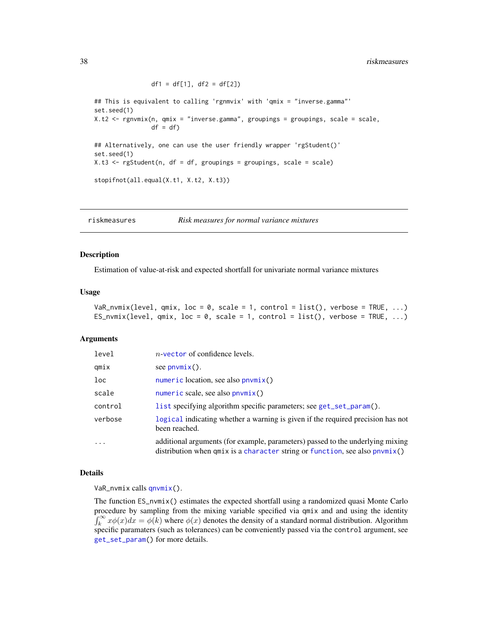<span id="page-37-0"></span>## This is equivalent to calling 'rgnmvix' with 'qmix = "inverse.gamma"' set.seed(1) X.t2 <- rgnvmix(n, qmix = "inverse.gamma", groupings = groupings, scale = scale,  $df = df$ ## Alternatively, one can use the user friendly wrapper 'rgStudent()' set.seed(1)  $X.t3 \leq r gStudent(n, df = df, groupings = groupings, scale = scale)$ stopifnot(all.equal(X.t1, X.t2, X.t3))

riskmeasures *Risk measures for normal variance mixtures*

 $df1 = df[1], df2 = df[2])$ 

#### <span id="page-37-1"></span>Description

Estimation of value-at-risk and expected shortfall for univariate normal variance mixtures

#### Usage

```
VaR_nvmix(level, qmix, loc = 0, scale = 1, control = list(), verbose = TRUE, ...)
ES_nvmix(level, qmix, loc = 0, scale = 1, control = list(), verbose = TRUE, ...)
```
#### Arguments

| level    | $n$ -vector of confidence levels.                                                                                                                                 |
|----------|-------------------------------------------------------------------------------------------------------------------------------------------------------------------|
| qmix     | see $p_{\text{numix}}()$ .                                                                                                                                        |
| loc      | $numeric$ location, see also $p_nw_n$ ()                                                                                                                          |
| scale    | $numeric$ scale, see also $p_nw_n$ ()                                                                                                                             |
| control  | list specifying algorithm specific parameters; see get_set_param().                                                                                               |
| verbose  | logical indicating whether a warning is given if the required precision has not<br>been reached.                                                                  |
| $\cdots$ | additional arguments (for example, parameters) passed to the underlying mixing<br>distribution when $qmix$ is a character string or function, see also $pnumix()$ |

#### Details

VaR\_nvmix calls [qnvmix\(](#page-30-1)).

The function ES\_nvmix() estimates the expected shortfall using a randomized quasi Monte Carlo procedure by sampling from the mixing variable specified via qmix and and using the identity  $\int_k^{\infty} x \phi(x) dx = \phi(k)$  where  $\phi(x)$  denotes the density of a standard normal distribution. Algorithm specific paramaters (such as tolerances) can be conveniently passed via the control argument, see [get\\_set\\_param\(](#page-18-1)) for more details.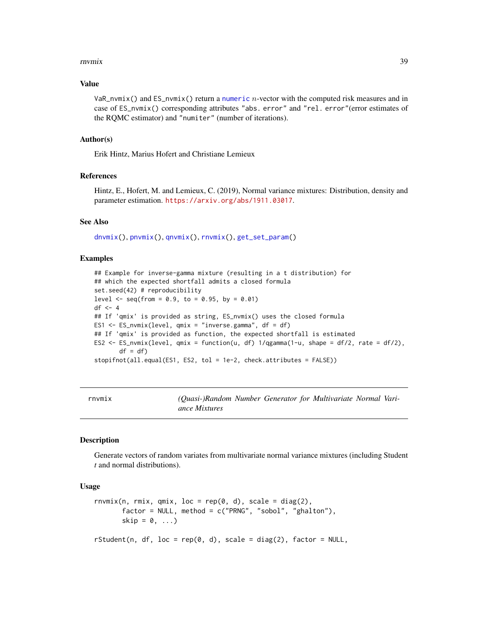#### <span id="page-38-0"></span>rnvmix 39

#### Value

VaR\_nvmix() and  $ES_{\text{avmix}}($ ) return a [numeric](#page-0-0) *n*-vector with the computed risk measures and in case of ES\_nvmix() corresponding attributes "abs. error" and "rel. error"(error estimates of the RQMC estimator) and "numiter" (number of iterations).

#### Author(s)

Erik Hintz, Marius Hofert and Christiane Lemieux

## References

Hintz, E., Hofert, M. and Lemieux, C. (2019), Normal variance mixtures: Distribution, density and parameter estimation. <https://arxiv.org/abs/1911.03017>.

#### See Also

[dnvmix\(](#page-9-1)), [pnvmix\(](#page-26-1)), [qnvmix\(](#page-30-1)), [rnvmix\(](#page-38-1)), [get\\_set\\_param\(](#page-18-1))

#### Examples

```
## Example for inverse-gamma mixture (resulting in a t distribution) for
## which the expected shortfall admits a closed formula
set.seed(42) # reproducibility
level \leq seq(from = 0.9, to = 0.95, by = 0.01)
df \leftarrow 4## If 'qmix' is provided as string, ES_nvmix() uses the closed formula
ES1 <- ES_nvmix(level, qmix = "inverse.gamma", df = df)
## If 'qmix' is provided as function, the expected shortfall is estimated
ES2 \leq ES_nvmix(level, qmix = function(u, df) 1/qgamma(1-u, shape = df/2, rate = df/2),
       df = dfstopifnot(all.equal(ES1, ES2, tol = 1e-2, check.attributes = FALSE))
```
<span id="page-38-1"></span>

|  | rnvmıx |  |  |
|--|--------|--|--|
|  |        |  |  |

(Quasi-)Random Number Generator for Multivariate Normal Vari*ance Mixtures*

#### Description

Generate vectors of random variates from multivariate normal variance mixtures (including Student *t* and normal distributions).

#### Usage

```
rnvmix(n, rmix, qmix, loc = rep(0, d), scale = diag(2),
       factor = NULL, method = c("PRNG", "sobol", "ghalton"),skip = 0, \ldots)
rStudent(n, df, loc = rep(0, d), scale = diag(2), factor = NULL,
```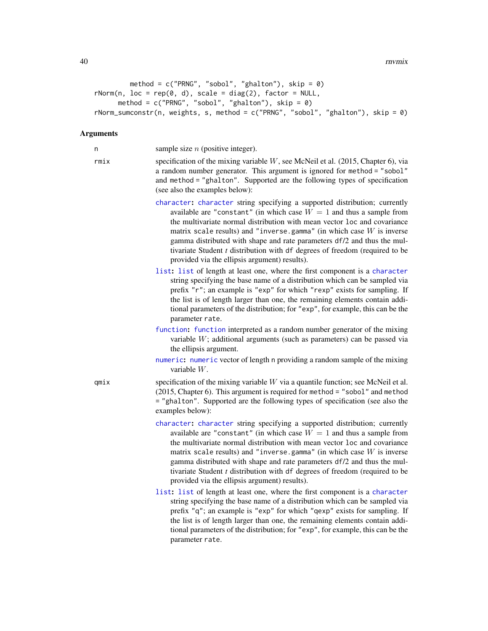```
method = c("PRNG", "sobol", "ghalton"), skip = <math>0</math>)rNorm(n, loc = rep(0, d), scale = diag(2), factor = NULL,method = c("PRNG", "sobol", "ghalton"), skip = <math>\emptyset</math>)rNorm_sumconstr(n, weights, s, method = c("PRNG", "sobol", "ghalton"), skip = 0)
```
#### Arguments

n sample size  $n$  (positive integer).

- rmix specification of the mixing variable  $W$ , see McNeil et al. (2015, Chapter 6), via a random number generator. This argument is ignored for method = "sobol" and method = "ghalton". Supported are the following types of specification (see also the examples below):
	- [character](#page-0-0): [character](#page-0-0) string specifying a supported distribution; currently available are "constant" (in which case  $W = 1$  and thus a sample from the multivariate normal distribution with mean vector loc and covariance matrix scale results) and "inverse.gamma" (in which case  $W$  is inverse gamma distributed with shape and rate parameters df/2 and thus the multivariate Student *t* distribution with df degrees of freedom (required to be provided via the ellipsis argument) results).
	- [list](#page-0-0): [list](#page-0-0) of length at least one, where the first component is a [character](#page-0-0) string specifying the base name of a distribution which can be sampled via prefix "r"; an example is "exp" for which "rexp" exists for sampling. If the list is of length larger than one, the remaining elements contain additional parameters of the distribution; for "exp", for example, this can be the parameter rate.
	- [function](#page-0-0): [function](#page-0-0) interpreted as a random number generator of the mixing variable W; additional arguments (such as parameters) can be passed via the ellipsis argument.
	- [numeric](#page-0-0): [numeric](#page-0-0) vector of length n providing a random sample of the mixing variable W.

 $qmix$  specification of the mixing variable W via a quantile function; see McNeil et al. (2015, Chapter 6). This argument is required for method = "sobol" and method = "ghalton". Supported are the following types of specification (see also the examples below):

- [character](#page-0-0): [character](#page-0-0) string specifying a supported distribution; currently available are "constant" (in which case  $W = 1$  and thus a sample from the multivariate normal distribution with mean vector loc and covariance matrix scale results) and "inverse.gamma" (in which case  $W$  is inverse gamma distributed with shape and rate parameters df/2 and thus the multivariate Student *t* distribution with df degrees of freedom (required to be provided via the ellipsis argument) results).
- [list](#page-0-0): [list](#page-0-0) of length at least one, where the first component is a [character](#page-0-0) string specifying the base name of a distribution which can be sampled via prefix "q"; an example is "exp" for which "qexp" exists for sampling. If the list is of length larger than one, the remaining elements contain additional parameters of the distribution; for "exp", for example, this can be the parameter rate.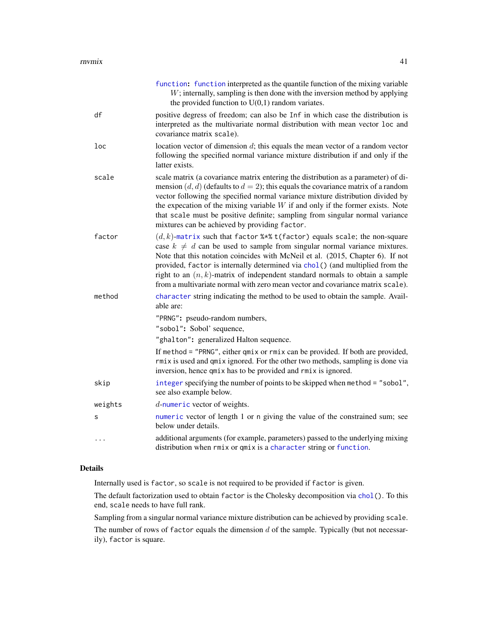<span id="page-40-0"></span>

|          | function: function interpreted as the quantile function of the mixing variable<br>$W$ ; internally, sampling is then done with the inversion method by applying<br>the provided function to $U(0,1)$ random variates.                                                                                                                                                                                                                                                                                 |
|----------|-------------------------------------------------------------------------------------------------------------------------------------------------------------------------------------------------------------------------------------------------------------------------------------------------------------------------------------------------------------------------------------------------------------------------------------------------------------------------------------------------------|
| df       | positive degress of freedom; can also be Inf in which case the distribution is<br>interpreted as the multivariate normal distribution with mean vector loc and<br>covariance matrix scale).                                                                                                                                                                                                                                                                                                           |
| loc      | location vector of dimension $d$ ; this equals the mean vector of a random vector<br>following the specified normal variance mixture distribution if and only if the<br>latter exists.                                                                                                                                                                                                                                                                                                                |
| scale    | scale matrix (a covariance matrix entering the distribution as a parameter) of di-<br>mension $(d, d)$ (defaults to $d = 2$ ); this equals the covariance matrix of a random<br>vector following the specified normal variance mixture distribution divided by<br>the expecation of the mixing variable $W$ if and only if the former exists. Note<br>that scale must be positive definite; sampling from singular normal variance<br>mixtures can be achieved by providing factor.                   |
| factor   | $(d, k)$ -matrix such that factor %*% t(factor) equals scale; the non-square<br>case $k \neq d$ can be used to sample from singular normal variance mixtures.<br>Note that this notation coincides with McNeil et al. (2015, Chapter 6). If not<br>provided, factor is internally determined via chol() (and multiplied from the<br>right to an $(n, k)$ -matrix of independent standard normals to obtain a sample<br>from a multivariate normal with zero mean vector and covariance matrix scale). |
| method   | character string indicating the method to be used to obtain the sample. Avail-<br>able are:                                                                                                                                                                                                                                                                                                                                                                                                           |
|          | "PRNG": pseudo-random numbers,                                                                                                                                                                                                                                                                                                                                                                                                                                                                        |
|          | "sobol": Sobol' sequence,                                                                                                                                                                                                                                                                                                                                                                                                                                                                             |
|          | "ghalton": generalized Halton sequence.                                                                                                                                                                                                                                                                                                                                                                                                                                                               |
|          | If method = "PRNG", either qmix or rmix can be provided. If both are provided,<br>rmix is used and qmix ignored. For the other two methods, sampling is done via<br>inversion, hence qmix has to be provided and rmix is ignored.                                                                                                                                                                                                                                                                     |
| skip     | integer specifying the number of points to be skipped when method = "sobol",<br>see also example below.                                                                                                                                                                                                                                                                                                                                                                                               |
| weights  | $d$ -numeric vector of weights.                                                                                                                                                                                                                                                                                                                                                                                                                                                                       |
| s        | numeric vector of length 1 or n giving the value of the constrained sum; see<br>below under details.                                                                                                                                                                                                                                                                                                                                                                                                  |
| $\cdots$ | additional arguments (for example, parameters) passed to the underlying mixing<br>distribution when rmix or qmix is a character string or function.                                                                                                                                                                                                                                                                                                                                                   |

#### Details

Internally used is factor, so scale is not required to be provided if factor is given.

The default factorization used to obtain factor is the Cholesky decomposition via [chol\(](#page-0-0)). To this end, scale needs to have full rank.

Sampling from a singular normal variance mixture distribution can be achieved by providing scale.

The number of rows of factor equals the dimension  $d$  of the sample. Typically (but not necessarily), factor is square.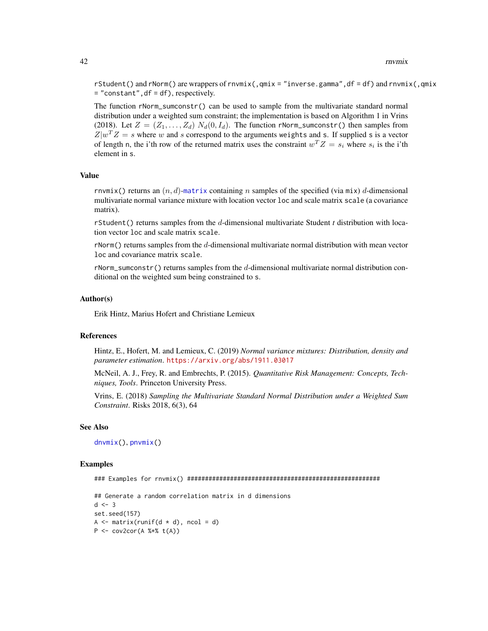rStudent() and rNorm() are wrappers of rnvmix(,qmix = "inverse.gamma",df = df) and rnvmix(,qmix = "constant",df = df), respectively.

The function rNorm\_sumconstr() can be used to sample from the multivariate standard normal distribution under a weighted sum constraint; the implementation is based on Algorithm 1 in Vrins (2018). Let  $Z = (Z_1, \ldots, Z_d) N_d(0, I_d)$ . The function rNorm\_sumconstr() then samples from  $Z|w^T Z = s$  where w and s correspond to the arguments weights and s. If supplied s is a vector of length n, the i'th row of the returned matrix uses the constraint  $w^T Z = s_i$  where  $s_i$  is the i'th element in s.

# Value

rnvmix() returns an  $(n, d)$ -[matrix](#page-0-0) containing n samples of the specified (via mix) d-dimensional multivariate normal variance mixture with location vector loc and scale matrix scale (a covariance matrix).

rStudent() returns samples from the d-dimensional multivariate Student *t* distribution with location vector loc and scale matrix scale.

rNorm() returns samples from the d-dimensional multivariate normal distribution with mean vector loc and covariance matrix scale.

rNorm\_sumconstr() returns samples from the  $d$ -dimensional multivariate normal distribution conditional on the weighted sum being constrained to s.

#### Author(s)

Erik Hintz, Marius Hofert and Christiane Lemieux

#### References

Hintz, E., Hofert, M. and Lemieux, C. (2019) *Normal variance mixtures: Distribution, density and parameter estimation*. <https://arxiv.org/abs/1911.03017>

McNeil, A. J., Frey, R. and Embrechts, P. (2015). *Quantitative Risk Management: Concepts, Techniques, Tools*. Princeton University Press.

Vrins, E. (2018) *Sampling the Multivariate Standard Normal Distribution under a Weighted Sum Constraint*. Risks 2018, 6(3), 64

#### See Also

[dnvmix\(](#page-9-1)), [pnvmix\(](#page-26-1))

#### Examples

### Examples for rnvmix() ######################################################

```
## Generate a random correlation matrix in d dimensions
d \le -3set.seed(157)
A \leq matrix(runif(d \neq d), ncol = d)
P \leq -\text{cov2cor}(A \text{ % } * \text{ % } t(A))
```
<span id="page-41-0"></span>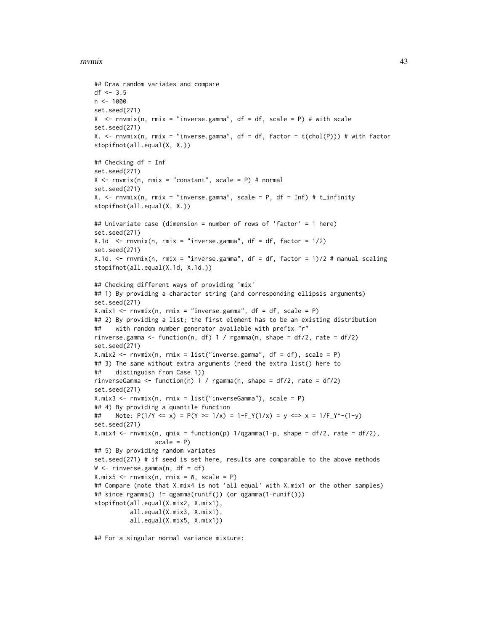#### rnvmix 43

```
## Draw random variates and compare
df <- 3.5
n < -1000set.seed(271)
X \leq -rnvmix(n, rmix = "inverse.gamma", df = df, scale = P) # with scale
set.seed(271)
X. \le rnvmix(n, rmix = "inverse.gamma", df = df, factor = t(chol(P))) # with factor
stopifnot(all.equal(X, X.))
## Checking df = Inf
set.seed(271)
X \leq -rnvmix(n, rmix = "constant", scale = P) # normal
set.seed(271)
X. \le rnvmix(n, rmix = "inverse.gamma", scale = P, df = Inf) # t_infinity
stopifnot(all.equal(X, X.))
## Univariate case (dimension = number of rows of 'factor' = 1 here)
set.seed(271)
X.1d \leq -rnvmix(n, rmix = "inverse.gamma", df = df, factor = 1/2)
set.seed(271)
X.1d. \le rnvmix(n, rmix = "inverse.gamma", df = df, factor = 1)/2 # manual scaling
stopifnot(all.equal(X.1d, X.1d.))
## Checking different ways of providing 'mix'
## 1) By providing a character string (and corresponding ellipsis arguments)
set.seed(271)
X.mix1 \leq rnvmix(n, rmix = "inverse.gamma", df = df, scale = P)## 2) By providing a list; the first element has to be an existing distribution
## with random number generator available with prefix "r"
rinverse.gamma <- function(n, df) 1 / rgamma(n, shape = df/2, rate = df/2)
set.seed(271)
X.mix2 \leq -r\nnumix(n, rmix = list("inverse.gamma", df = df), scale = P)## 3) The same without extra arguments (need the extra list() here to
## distinguish from Case 1))
rinverseGamma \le function(n) 1 / rgamma(n, shape = df/2, rate = df/2)
set.seed(271)
X.mix3 <- rnvmix(n, rmix = list("inverseGamma"), scale = P)
## 4) By providing a quantile function
## Note: P(1/Y \le x) = P(Y \ge 1/x) = 1-F_Y(1/x) = y \le y \le 1/F_Y^*(-1-y)set.seed(271)
X.mix4 <- rnvmix(n, qmix = function(p) 1/qgamma(1-p, shape = df/2, rate = df/2),
                 scale = P## 5) By providing random variates
set.seed(271) # if seed is set here, results are comparable to the above methods
W \leq -r inverse.gamma(n, df = df)
X.mix5 \leq r\nnumix(n, rmix = W, scale = P)## Compare (note that X.mix4 is not 'all equal' with X.mix1 or the other samples)
## since rgamma() != qgamma(runif()) (or qgamma(1-runif()))
stopifnot(all.equal(X.mix2, X.mix1),
          all.equal(X.mix3, X.mix1),
          all.equal(X.mix5, X.mix1))
```
## For a singular normal variance mixture: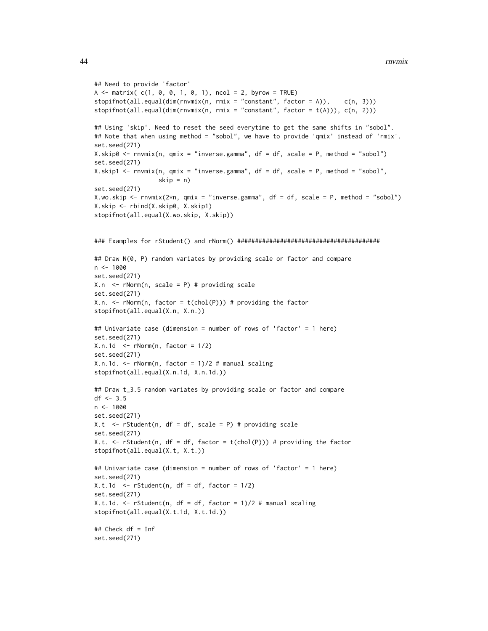```
## Need to provide 'factor'
A \le - matrix( c(1, 0, 0, 1, 0, 1), ncol = 2, byrow = TRUE)
stopifnot(all.equals(dim(rnvmix(n, rmix = "constant", factor = A)), c(n, 3)))stopifnot(all.equals(dim(rnvmix(n, rmix = "constant", factor = t(A))), c(n, 2)))## Using 'skip'. Need to reset the seed everytime to get the same shifts in "sobol".
## Note that when using method = "sobol", we have to provide 'qmix' instead of 'rmix'.
set.seed(271)
X.skip0 <- rnvmix(n, qmix = "inverse.gamma", df = df, scale = P, method = "sobol")
set.seed(271)
X.skip1 <- rnvmix(n, qmix = "inverse.gamma", df = df, scale = P, method = "sobol",
                  skip = n)set.seed(271)
X.wo.skip <- rnvmix(2*n, qmix = "inverse.gamma", df = df, scale = P, method = "sobol")
X.skip <- rbind(X.skip0, X.skip1)
stopifnot(all.equal(X.wo.skip, X.skip))
### Examples for rStudent() and rNorm() ########################################
## Draw N(0, P) random variates by providing scale or factor and compare
n < -1000set.seed(271)
X.n <- rNorm(n, scale = P) # providing scale
set.seed(271)
X.n. \leq rNorm(n, factor = t(chol(P))) # providing the factor
stopifnot(all.equal(X.n, X.n.))
## Univariate case (dimension = number of rows of 'factor' = 1 here)
set.seed(271)
X.n.1d < -rNorm(n, factor = 1/2)set.seed(271)
X.n.1d. < -rNorm(n, factor = 1)/2 # manual scalingstopifnot(all.equal(X.n.1d, X.n.1d.))
## Draw t_3.5 random variates by providing scale or factor and compare
df \le -3.5n < - 1000set.seed(271)
X.t \leq rStudent(n, df = df, scale = P) # providing scale
set.seed(271)
X.t. \le rStudent(n, df = df, factor = t(chol(P))) # providing the factor
stopifnot(all.equal(X.t, X.t.))
## Univariate case (dimension = number of rows of 'factor' = 1 here)
set.seed(271)
X.t.1d \leq rStudent(n, df = df, factor = 1/2)set.seed(271)
X.t.1d. \le rStudent(n, df = df, factor = 1)/2 # manual scaling
stopifnot(all.equal(X.t.1d, X.t.1d.))
## Check df = Inf
set.seed(271)
```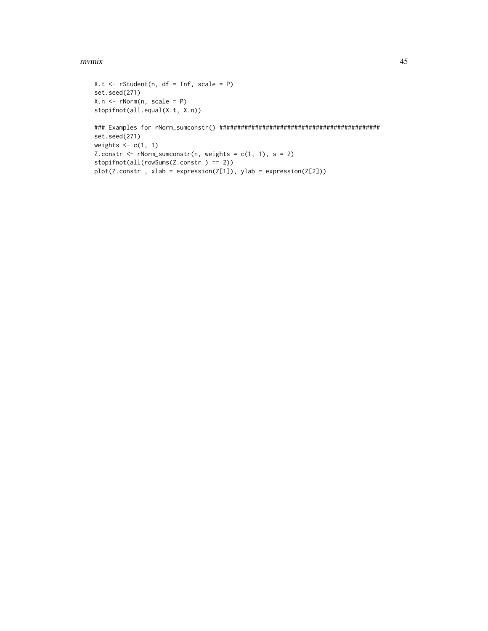#### rnvmix 45

```
X.t < -rStudent(n, df = Inf, scale = P)set.seed(271)
X.n <- rNorm(n, scale = P)
stopifnot(all.equal(X.t, X.n))
### Examples for rNorm_sumconstr() #############################################
set.seed(271)
weights \leq c(1, 1)Z.constr <- rNorm_sumconstr(n, weights = c(1, 1), s = 2)
stopifnot(all(rowSums(Z.constr ) == 2))
plot(Z.constr , xlab = expression(Z[1]), ylab = expression(Z[2]))
```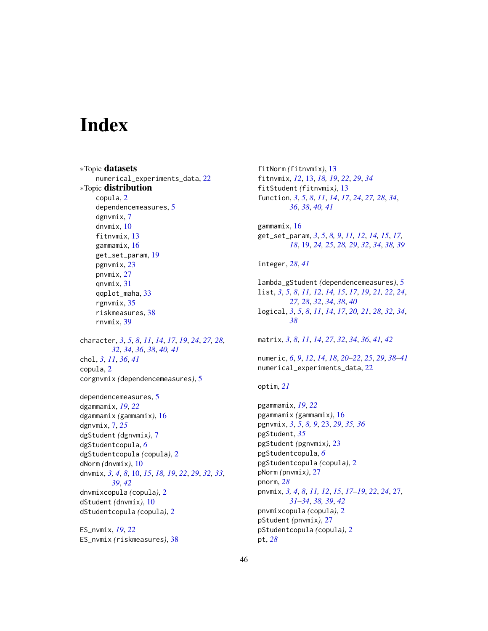# <span id="page-45-0"></span>**Index**

∗Topic datasets numerical\_experiments\_data, [22](#page-21-0) ∗Topic distribution copula, [2](#page-1-0) dependencemeasures, [5](#page-4-0) dgnvmix, [7](#page-6-0) dnvmix, [10](#page-9-0) fitnvmix, [13](#page-12-0) gammamix, [16](#page-15-0) get\_set\_param, [19](#page-18-0) pgnvmix, [23](#page-22-0) pnvmix, [27](#page-26-0) qnvmix, [31](#page-30-0) qqplot\_maha, [33](#page-32-0) rgnvmix, [35](#page-34-0) riskmeasures, [38](#page-37-0) rnvmix, [39](#page-38-0)

character, *[3](#page-2-0)*, *[5](#page-4-0)*, *[8](#page-7-0)*, *[11](#page-10-0)*, *[14](#page-13-0)*, *[17](#page-16-0)*, *[19](#page-18-0)*, *[24](#page-23-0)*, *[27,](#page-26-0) [28](#page-27-0)*, *[32](#page-31-0)*, *[34](#page-33-0)*, *[36](#page-35-0)*, *[38](#page-37-0)*, *[40,](#page-39-0) [41](#page-40-0)* chol, *[3](#page-2-0)*, *[11](#page-10-0)*, *[36](#page-35-0)*, *[41](#page-40-0)* copula, [2](#page-1-0) corgnvmix *(*dependencemeasures*)*, [5](#page-4-0)

dependencemeasures, [5](#page-4-0) dgammamix, *[19](#page-18-0)*, *[22](#page-21-0)* dgammamix *(*gammamix*)*, [16](#page-15-0) dgnvmix, [7,](#page-6-0) *[25](#page-24-0)* dgStudent *(*dgnvmix*)*, [7](#page-6-0) dgStudentcopula, *[6](#page-5-0)* dgStudentcopula *(*copula*)*, [2](#page-1-0) dNorm *(*dnvmix*)*, [10](#page-9-0) dnvmix, *[3,](#page-2-0) [4](#page-3-0)*, *[8](#page-7-0)*, [10,](#page-9-0) *[15](#page-14-0)*, *[18,](#page-17-0) [19](#page-18-0)*, *[22](#page-21-0)*, *[29](#page-28-0)*, *[32,](#page-31-0) [33](#page-32-0)*, *[39](#page-38-0)*, *[42](#page-41-0)* dnvmixcopula *(*copula*)*, [2](#page-1-0) dStudent *(*dnvmix*)*, [10](#page-9-0) dStudentcopula *(*copula*)*, [2](#page-1-0)

ES\_nvmix, *[19](#page-18-0)*, *[22](#page-21-0)* ES\_nvmix *(*riskmeasures*)*, [38](#page-37-0) fitNorm *(*fitnvmix*)*, [13](#page-12-0) fitnvmix, *[12](#page-11-0)*, [13,](#page-12-0) *[18,](#page-17-0) [19](#page-18-0)*, *[22](#page-21-0)*, *[29](#page-28-0)*, *[34](#page-33-0)* fitStudent *(*fitnvmix*)*, [13](#page-12-0) function, *[3](#page-2-0)*, *[5](#page-4-0)*, *[8](#page-7-0)*, *[11](#page-10-0)*, *[14](#page-13-0)*, *[17](#page-16-0)*, *[24](#page-23-0)*, *[27,](#page-26-0) [28](#page-27-0)*, *[34](#page-33-0)*, *[36](#page-35-0)*, *[38](#page-37-0)*, *[40,](#page-39-0) [41](#page-40-0)* gammamix, [16](#page-15-0) get\_set\_param, *[3](#page-2-0)*, *[5](#page-4-0)*, *[8,](#page-7-0) [9](#page-8-0)*, *[11,](#page-10-0) [12](#page-11-0)*, *[14,](#page-13-0) [15](#page-14-0)*, *[17,](#page-16-0) [18](#page-17-0)*, [19,](#page-18-0) *[24,](#page-23-0) [25](#page-24-0)*, *[28,](#page-27-0) [29](#page-28-0)*, *[32](#page-31-0)*, *[34](#page-33-0)*, *[38,](#page-37-0) [39](#page-38-0)* integer, *[28](#page-27-0)*, *[41](#page-40-0)* lambda\_gStudent *(*dependencemeasures*)*, [5](#page-4-0) list, *[3](#page-2-0)*, *[5](#page-4-0)*, *[8](#page-7-0)*, *[11,](#page-10-0) [12](#page-11-0)*, *[14,](#page-13-0) [15](#page-14-0)*, *[17](#page-16-0)*, *[19](#page-18-0)*, *[21,](#page-20-0) [22](#page-21-0)*, *[24](#page-23-0)*, *[27,](#page-26-0) [28](#page-27-0)*, *[32](#page-31-0)*, *[34](#page-33-0)*, *[38](#page-37-0)*, *[40](#page-39-0)* logical, *[3](#page-2-0)*, *[5](#page-4-0)*, *[8](#page-7-0)*, *[11](#page-10-0)*, *[14](#page-13-0)*, *[17](#page-16-0)*, *[20,](#page-19-0) [21](#page-20-0)*, *[28](#page-27-0)*, *[32](#page-31-0)*, *[34](#page-33-0)*, *[38](#page-37-0)* matrix, *[3](#page-2-0)*, *[8](#page-7-0)*, *[11](#page-10-0)*, *[14](#page-13-0)*, *[27](#page-26-0)*, *[32](#page-31-0)*, *[34](#page-33-0)*, *[36](#page-35-0)*, *[41,](#page-40-0) [42](#page-41-0)* numeric, *[6](#page-5-0)*, *[9](#page-8-0)*, *[12](#page-11-0)*, *[14](#page-13-0)*, *[18](#page-17-0)*, *[20–](#page-19-0)[22](#page-21-0)*, *[25](#page-24-0)*, *[29](#page-28-0)*, *[38](#page-37-0)[–41](#page-40-0)* numerical\_experiments\_data, [22](#page-21-0) optim, *[21](#page-20-0)* pgammamix, *[19](#page-18-0)*, *[22](#page-21-0)* pgammamix *(*gammamix*)*, [16](#page-15-0) pgnvmix, *[3](#page-2-0)*, *[5](#page-4-0)*, *[8,](#page-7-0) [9](#page-8-0)*, [23,](#page-22-0) *[29](#page-28-0)*, *[35,](#page-34-0) [36](#page-35-0)* pgStudent, *[35](#page-34-0)* pgStudent *(*pgnvmix*)*, [23](#page-22-0) pgStudentcopula, *[6](#page-5-0)* pgStudentcopula *(*copula*)*, [2](#page-1-0) pNorm *(*pnvmix*)*, [27](#page-26-0) pnorm, *[28](#page-27-0)* pnvmix, *[3,](#page-2-0) [4](#page-3-0)*, *[8](#page-7-0)*, *[11,](#page-10-0) [12](#page-11-0)*, *[15](#page-14-0)*, *[17](#page-16-0)[–19](#page-18-0)*, *[22](#page-21-0)*, *[24](#page-23-0)*, [27,](#page-26-0) *[31](#page-30-0)[–34](#page-33-0)*, *[38,](#page-37-0) [39](#page-38-0)*, *[42](#page-41-0)* pnvmixcopula *(*copula*)*, [2](#page-1-0) pStudent *(*pnvmix*)*, [27](#page-26-0) pStudentcopula *(*copula*)*, [2](#page-1-0) pt, *[28](#page-27-0)*